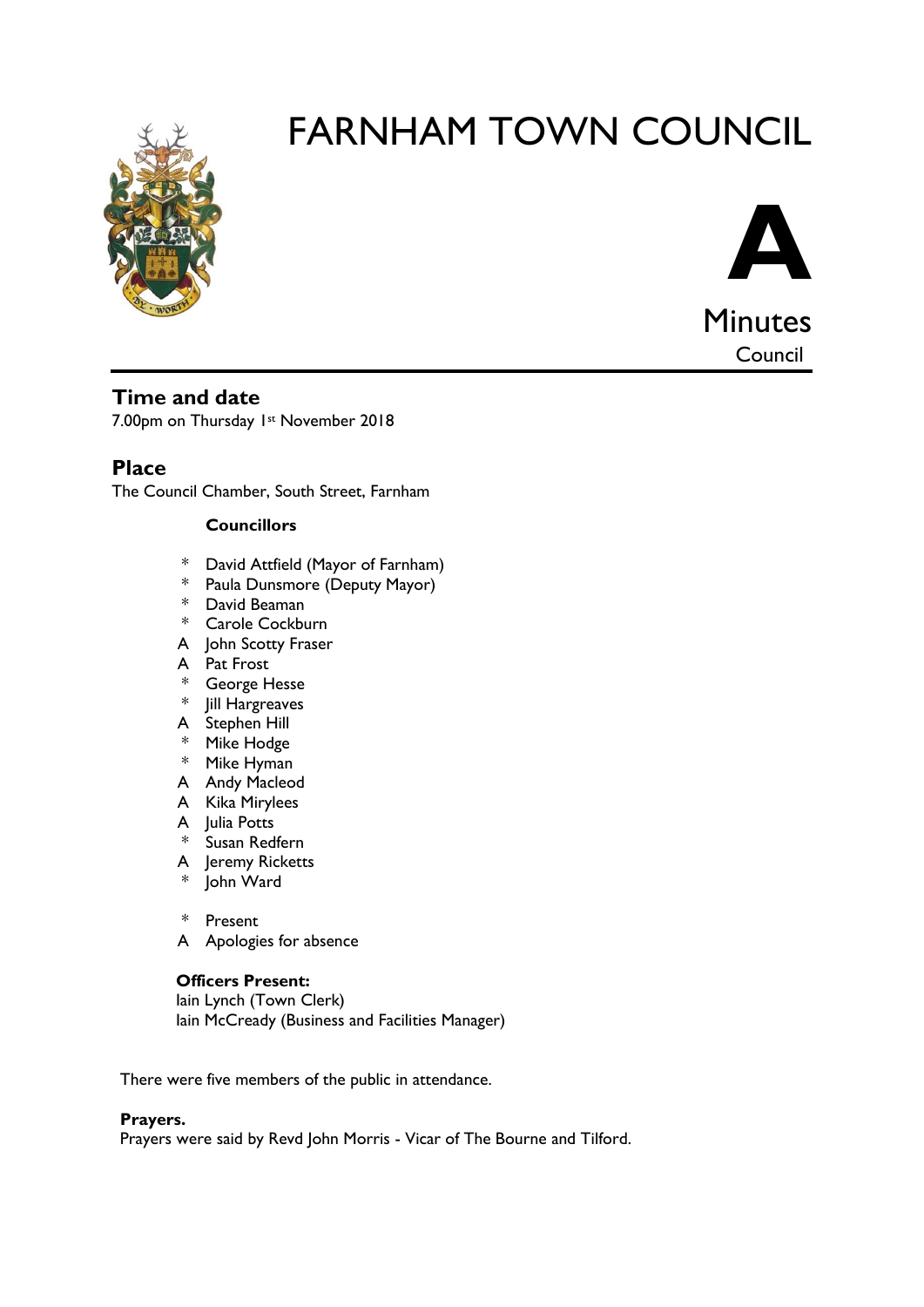



# **Time and date**

7.00pm on Thursday 1st November 2018

**Place**

The Council Chamber, South Street, Farnham

#### **Councillors**

- \* David Attfield (Mayor of Farnham)
- \* Paula Dunsmore (Deputy Mayor)
- \* David Beaman
- \* Carole Cockburn
- A John Scotty Fraser
- A Pat Frost
- \* George Hesse
- \* Jill Hargreaves
- A Stephen Hill
- \* Mike Hodge
- \* Mike Hyman
- A Andy Macleod
- A Kika Mirylees
- A Julia Potts
- \* Susan Redfern
- A Jeremy Ricketts
- \* John Ward
- \* Present
- A Apologies for absence

#### **Officers Present:**

Iain Lynch (Town Clerk) Iain McCready (Business and Facilities Manager)

There were five members of the public in attendance.

#### **Prayers.**

Prayers were said by Revd John Morris - Vicar of The Bourne and Tilford.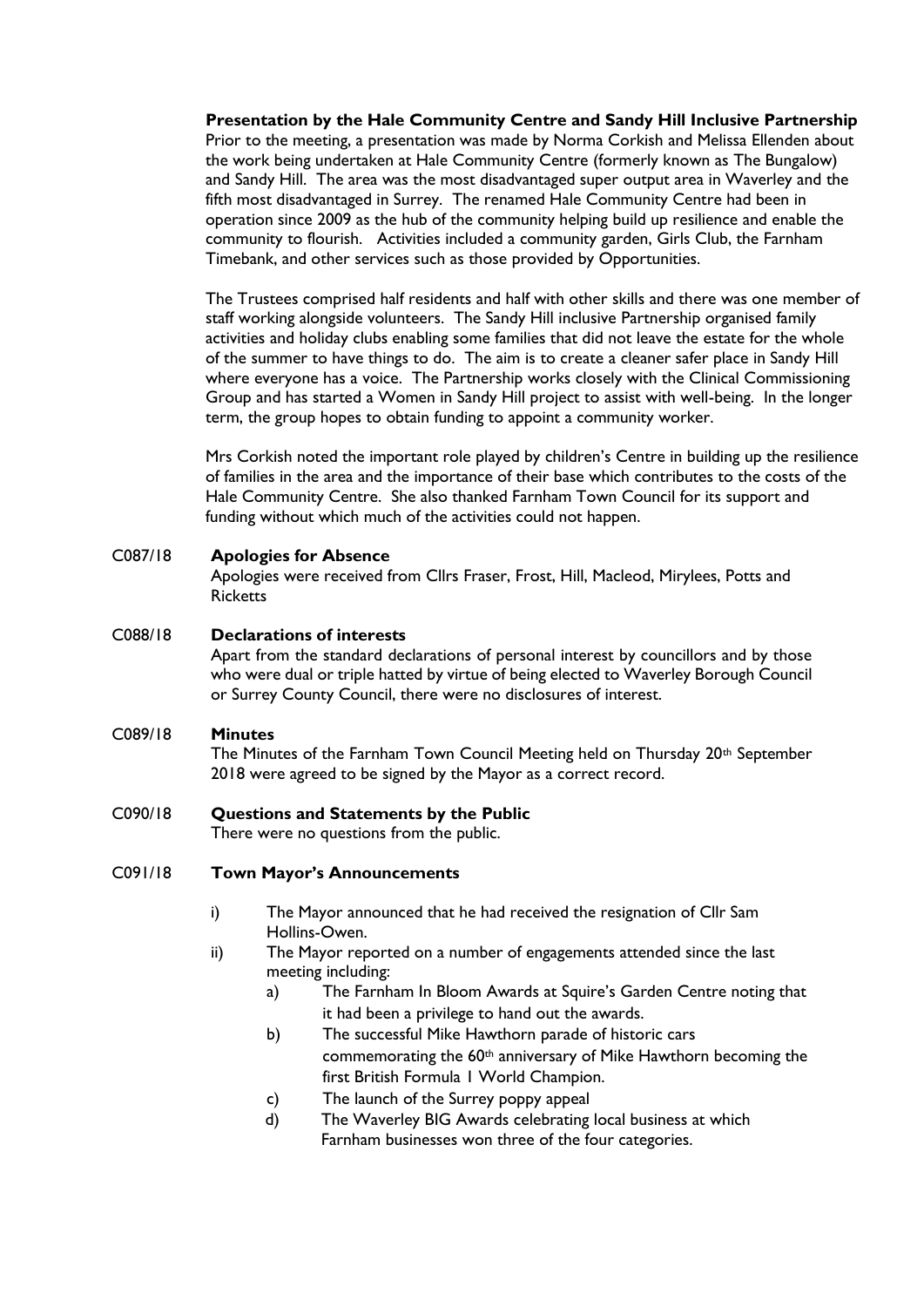**Presentation by the Hale Community Centre and Sandy Hill Inclusive Partnership**  Prior to the meeting, a presentation was made by Norma Corkish and Melissa Ellenden about the work being undertaken at Hale Community Centre (formerly known as The Bungalow) and Sandy Hill. The area was the most disadvantaged super output area in Waverley and the fifth most disadvantaged in Surrey. The renamed Hale Community Centre had been in operation since 2009 as the hub of the community helping build up resilience and enable the community to flourish. Activities included a community garden, Girls Club, the Farnham Timebank, and other services such as those provided by Opportunities.

The Trustees comprised half residents and half with other skills and there was one member of staff working alongside volunteers. The Sandy Hill inclusive Partnership organised family activities and holiday clubs enabling some families that did not leave the estate for the whole of the summer to have things to do. The aim is to create a cleaner safer place in Sandy Hill where everyone has a voice. The Partnership works closely with the Clinical Commissioning Group and has started a Women in Sandy Hill project to assist with well-being. In the longer term, the group hopes to obtain funding to appoint a community worker.

Mrs Corkish noted the important role played by children's Centre in building up the resilience of families in the area and the importance of their base which contributes to the costs of the Hale Community Centre. She also thanked Farnham Town Council for its support and funding without which much of the activities could not happen.

#### C087/18 **Apologies for Absence**

Apologies were received from Cllrs Fraser, Frost, Hill, Macleod, Mirylees, Potts and **Ricketts** 

#### C088/18 **Declarations of interests**

Apart from the standard declarations of personal interest by councillors and by those who were dual or triple hatted by virtue of being elected to Waverley Borough Council or Surrey County Council, there were no disclosures of interest.

#### C089/18 **Minutes**

The Minutes of the Farnham Town Council Meeting held on Thursday 20<sup>th</sup> September 2018 were agreed to be signed by the Mayor as a correct record.

#### C090/18 **Questions and Statements by the Public**

There were no questions from the public.

#### C091/18 **Town Mayor's Announcements**

- i) The Mayor announced that he had received the resignation of Cllr Sam Hollins-Owen.
- ii) The Mayor reported on a number of engagements attended since the last meeting including:
	- a) The Farnham In Bloom Awards at Squire's Garden Centre noting that it had been a privilege to hand out the awards.
	- b) The successful Mike Hawthorn parade of historic cars commemorating the 60th anniversary of Mike Hawthorn becoming the first British Formula 1 World Champion.
	- c) The launch of the Surrey poppy appeal
	- d) The Waverley BIG Awards celebrating local business at which Farnham businesses won three of the four categories.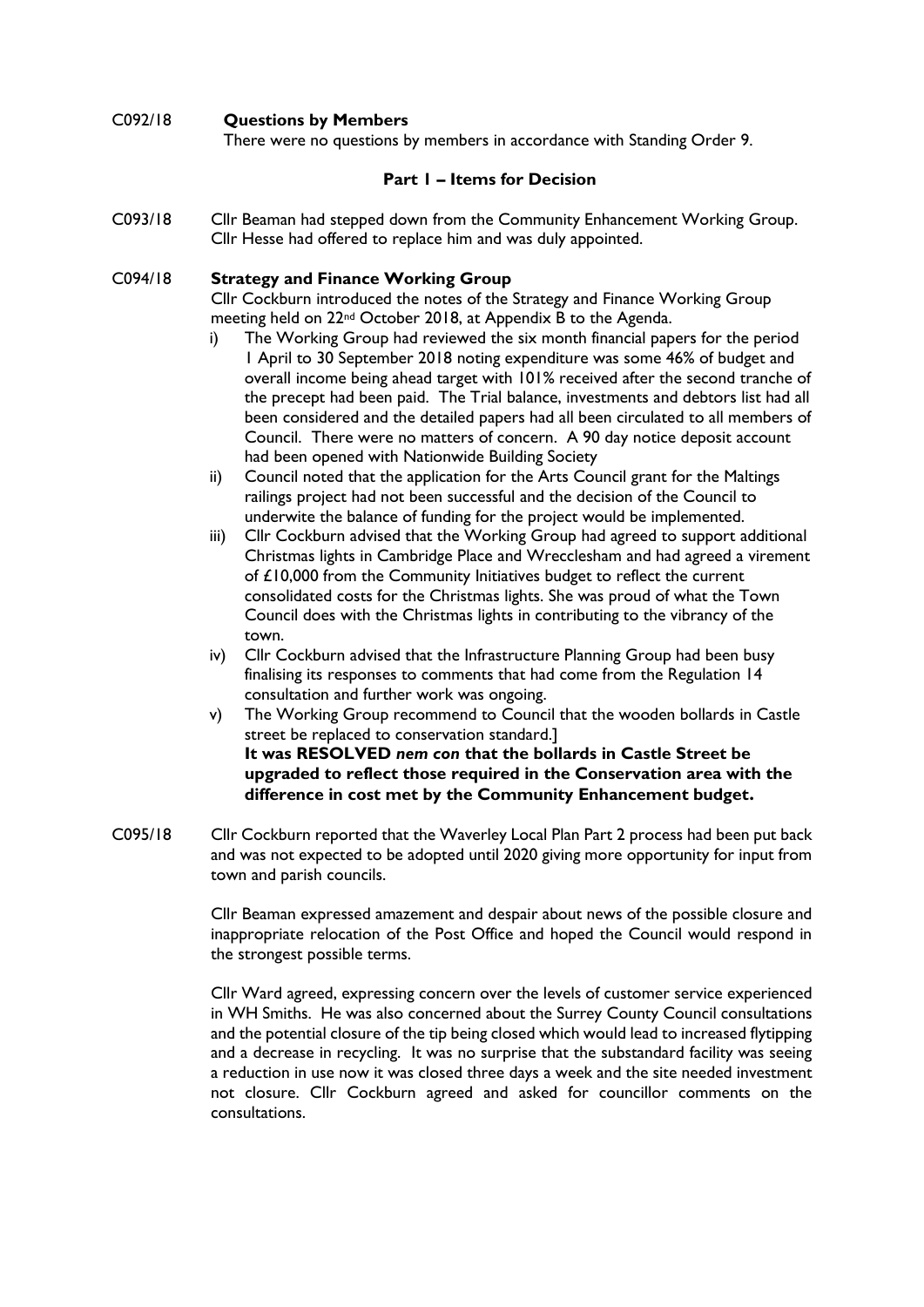# C092/18 **Questions by Members**

There were no questions by members in accordance with Standing Order 9.

#### **Part 1 – Items for Decision**

C093/18 Cllr Beaman had stepped down from the Community Enhancement Working Group. Cllr Hesse had offered to replace him and was duly appointed.

#### C094/18 **Strategy and Finance Working Group**

Cllr Cockburn introduced the notes of the Strategy and Finance Working Group meeting held on 22nd October 2018, at Appendix B to the Agenda.

- i) The Working Group had reviewed the six month financial papers for the period 1 April to 30 September 2018 noting expenditure was some 46% of budget and overall income being ahead target with 101% received after the second tranche of the precept had been paid. The Trial balance, investments and debtors list had all been considered and the detailed papers had all been circulated to all members of Council. There were no matters of concern. A 90 day notice deposit account had been opened with Nationwide Building Society
- ii) Council noted that the application for the Arts Council grant for the Maltings railings project had not been successful and the decision of the Council to underwite the balance of funding for the project would be implemented.
- iii) Cllr Cockburn advised that the Working Group had agreed to support additional Christmas lights in Cambridge Place and Wrecclesham and had agreed a virement of £10,000 from the Community Initiatives budget to reflect the current consolidated costs for the Christmas lights. She was proud of what the Town Council does with the Christmas lights in contributing to the vibrancy of the town.
- iv) Cllr Cockburn advised that the Infrastructure Planning Group had been busy finalising its responses to comments that had come from the Regulation 14 consultation and further work was ongoing.
- v) The Working Group recommend to Council that the wooden bollards in Castle street be replaced to conservation standard.] **It was RESOLVED** *nem con* **that the bollards in Castle Street be upgraded to reflect those required in the Conservation area with the difference in cost met by the Community Enhancement budget.**
- C095/18 Cllr Cockburn reported that the Waverley Local Plan Part 2 process had been put back and was not expected to be adopted until 2020 giving more opportunity for input from town and parish councils.

Cllr Beaman expressed amazement and despair about news of the possible closure and inappropriate relocation of the Post Office and hoped the Council would respond in the strongest possible terms.

Cllr Ward agreed, expressing concern over the levels of customer service experienced in WH Smiths. He was also concerned about the Surrey County Council consultations and the potential closure of the tip being closed which would lead to increased flytipping and a decrease in recycling. It was no surprise that the substandard facility was seeing a reduction in use now it was closed three days a week and the site needed investment not closure. Cllr Cockburn agreed and asked for councillor comments on the consultations.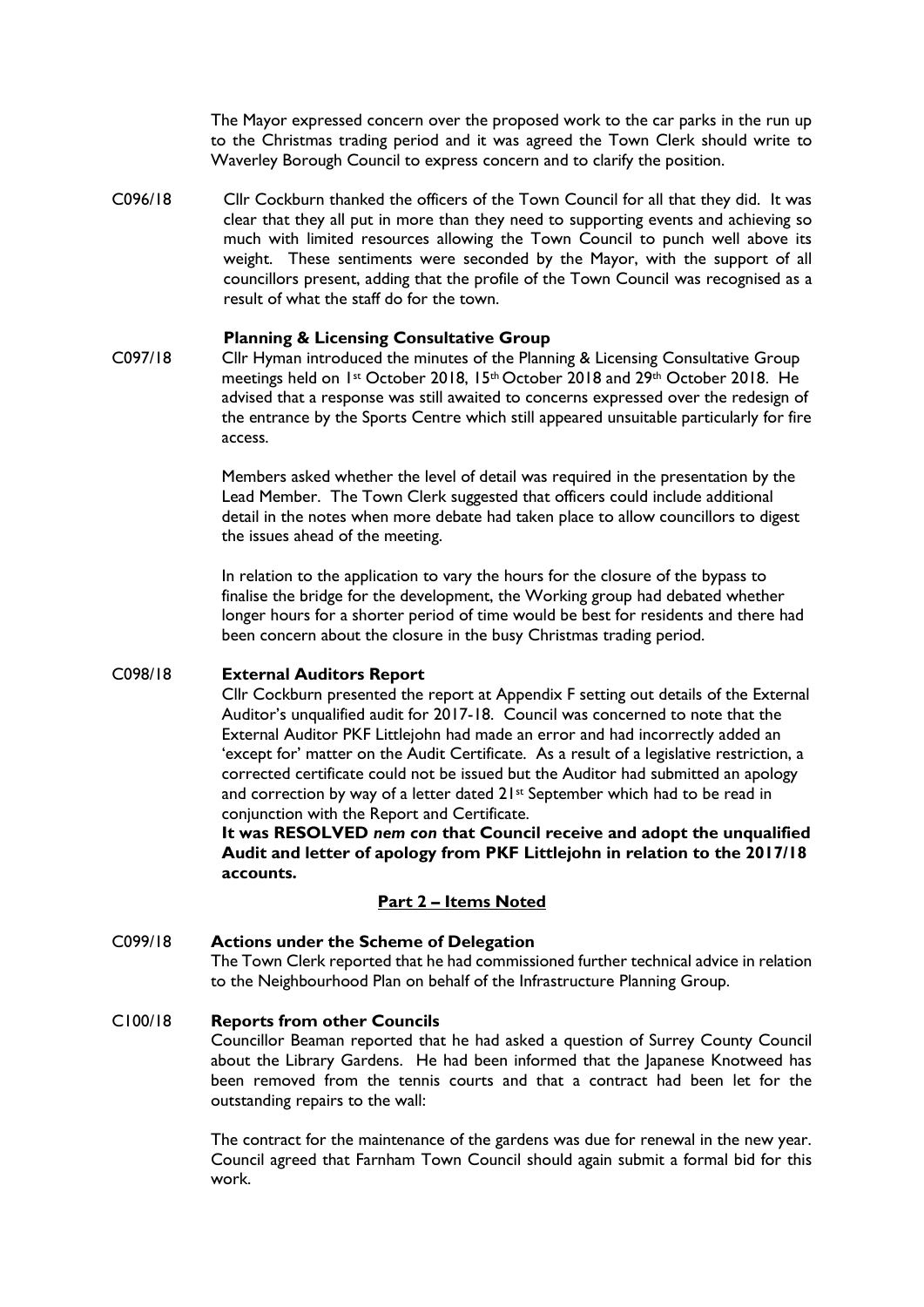The Mayor expressed concern over the proposed work to the car parks in the run up to the Christmas trading period and it was agreed the Town Clerk should write to Waverley Borough Council to express concern and to clarify the position.

C096/18 Cllr Cockburn thanked the officers of the Town Council for all that they did. It was clear that they all put in more than they need to supporting events and achieving so much with limited resources allowing the Town Council to punch well above its weight. These sentiments were seconded by the Mayor, with the support of all councillors present, adding that the profile of the Town Council was recognised as a result of what the staff do for the town.

#### **Planning & Licensing Consultative Group**

C097/18 Cllr Hyman introduced the minutes of the Planning & Licensing Consultative Group meetings held on 1st October 2018, 15th October 2018 and 29th October 2018. He advised that a response was still awaited to concerns expressed over the redesign of the entrance by the Sports Centre which still appeared unsuitable particularly for fire access.

> Members asked whether the level of detail was required in the presentation by the Lead Member. The Town Clerk suggested that officers could include additional detail in the notes when more debate had taken place to allow councillors to digest the issues ahead of the meeting.

> In relation to the application to vary the hours for the closure of the bypass to finalise the bridge for the development, the Working group had debated whether longer hours for a shorter period of time would be best for residents and there had been concern about the closure in the busy Christmas trading period.

#### C098/18 **External Auditors Report**

Cllr Cockburn presented the report at Appendix F setting out details of the External Auditor's unqualified audit for 2017-18. Council was concerned to note that the External Auditor PKF Littlejohn had made an error and had incorrectly added an 'except for' matter on the Audit Certificate. As a result of a legislative restriction, a corrected certificate could not be issued but the Auditor had submitted an apology and correction by way of a letter dated 21<sup>st</sup> September which had to be read in conjunction with the Report and Certificate.

**It was RESOLVED** *nem con* **that Council receive and adopt the unqualified Audit and letter of apology from PKF Littlejohn in relation to the 2017/18 accounts.**

#### **Part 2 – Items Noted**

#### C099/18 **Actions under the Scheme of Delegation** The Town Clerk reported that he had commissioned further technical advice in relation to the Neighbourhood Plan on behalf of the Infrastructure Planning Group.

#### C100/18 **Reports from other Councils**

Councillor Beaman reported that he had asked a question of Surrey County Council about the Library Gardens. He had been informed that the Japanese Knotweed has been removed from the tennis courts and that a contract had been let for the outstanding repairs to the wall:

The contract for the maintenance of the gardens was due for renewal in the new year. Council agreed that Farnham Town Council should again submit a formal bid for this work.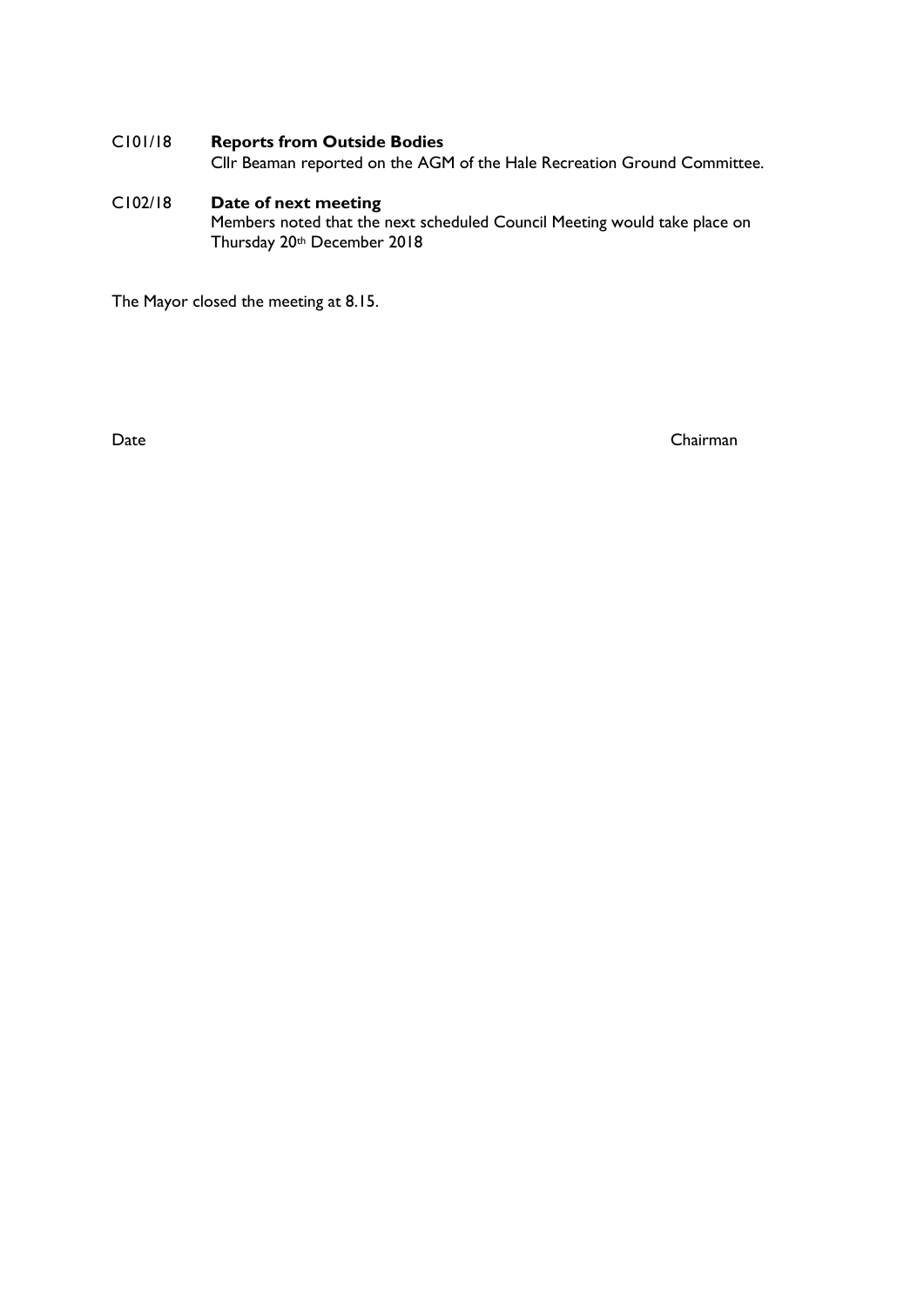# C101/18 **Reports from Outside Bodies**

Cllr Beaman reported on the AGM of the Hale Recreation Ground Committee.

#### C102/18 **Date of next meeting** Members noted that the next scheduled Council Meeting would take place on Thursday 20th December 2018

The Mayor closed the meeting at 8.15.

Date Chairman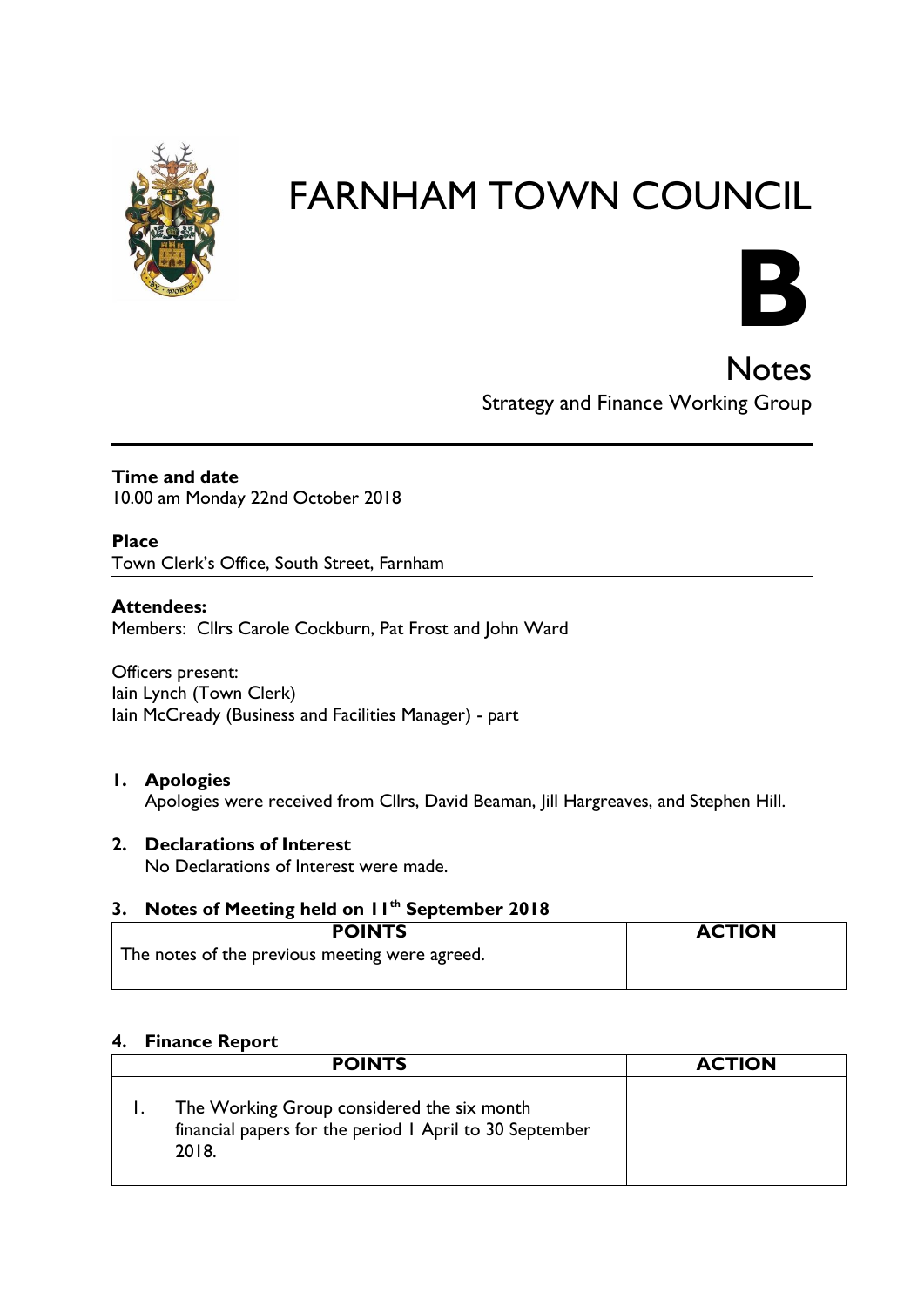



**Notes** Strategy and Finance Working Group

**Time and date** 10.00 am Monday 22nd October 2018

**Place** Town Clerk's Office, South Street, Farnham

# **Attendees:**

Members: Cllrs Carole Cockburn, Pat Frost and John Ward

Officers present: Iain Lynch (Town Clerk) Iain McCready (Business and Facilities Manager) - part

# **1. Apologies**

Apologies were received from Cllrs, David Beaman, Jill Hargreaves, and Stephen Hill.

# **2. Declarations of Interest**

No Declarations of Interest were made.

# **3. Notes of Meeting held on 11th September 2018**

| <b>POINTS</b>                                  | <b>ACTION</b> |
|------------------------------------------------|---------------|
| The notes of the previous meeting were agreed. |               |

#### **4. Finance Report**

| <b>POINTS</b>                                                                                                  | <b>ACTION</b> |
|----------------------------------------------------------------------------------------------------------------|---------------|
| The Working Group considered the six month<br>financial papers for the period 1 April to 30 September<br>2018. |               |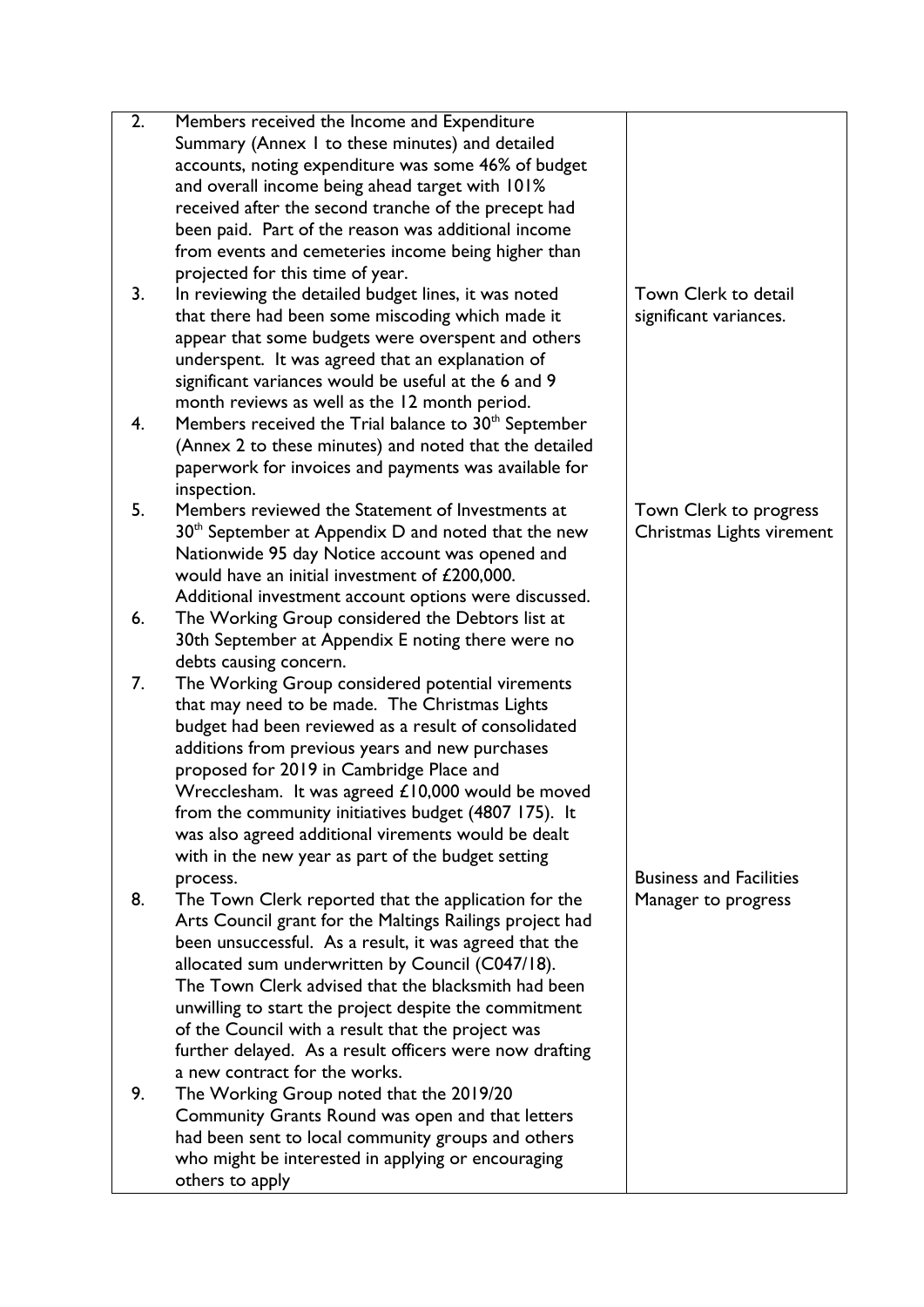| 2. | Members received the Income and Expenditure                      |                                |
|----|------------------------------------------------------------------|--------------------------------|
|    | Summary (Annex I to these minutes) and detailed                  |                                |
|    | accounts, noting expenditure was some 46% of budget              |                                |
|    | and overall income being ahead target with 101%                  |                                |
|    | received after the second tranche of the precept had             |                                |
|    | been paid. Part of the reason was additional income              |                                |
|    | from events and cemeteries income being higher than              |                                |
|    | projected for this time of year.                                 |                                |
| 3. | In reviewing the detailed budget lines, it was noted             | Town Clerk to detail           |
|    | that there had been some miscoding which made it                 | significant variances.         |
|    | appear that some budgets were overspent and others               |                                |
|    | underspent. It was agreed that an explanation of                 |                                |
|    | significant variances would be useful at the 6 and 9             |                                |
|    | month reviews as well as the 12 month period.                    |                                |
|    |                                                                  |                                |
| 4. | Members received the Trial balance to 30 <sup>th</sup> September |                                |
|    | (Annex 2 to these minutes) and noted that the detailed           |                                |
|    | paperwork for invoices and payments was available for            |                                |
|    | inspection.                                                      |                                |
| 5. | Members reviewed the Statement of Investments at                 | Town Clerk to progress         |
|    | 30 <sup>th</sup> September at Appendix D and noted that the new  | Christmas Lights virement      |
|    | Nationwide 95 day Notice account was opened and                  |                                |
|    | would have an initial investment of £200,000.                    |                                |
|    | Additional investment account options were discussed.            |                                |
| 6. | The Working Group considered the Debtors list at                 |                                |
|    | 30th September at Appendix E noting there were no                |                                |
|    | debts causing concern.                                           |                                |
| 7. | The Working Group considered potential virements                 |                                |
|    | that may need to be made. The Christmas Lights                   |                                |
|    | budget had been reviewed as a result of consolidated             |                                |
|    | additions from previous years and new purchases                  |                                |
|    | proposed for 2019 in Cambridge Place and                         |                                |
|    | Wrecclesham. It was agreed £10,000 would be moved                |                                |
|    | from the community initiatives budget (4807 175). It             |                                |
|    | was also agreed additional virements would be dealt              |                                |
|    | with in the new year as part of the budget setting               |                                |
|    | process.                                                         | <b>Business and Facilities</b> |
| 8. | The Town Clerk reported that the application for the             | Manager to progress            |
|    | Arts Council grant for the Maltings Railings project had         |                                |
|    | been unsuccessful. As a result, it was agreed that the           |                                |
|    | allocated sum underwritten by Council (C047/18).                 |                                |
|    |                                                                  |                                |
|    | The Town Clerk advised that the blacksmith had been              |                                |
|    | unwilling to start the project despite the commitment            |                                |
|    | of the Council with a result that the project was                |                                |
|    | further delayed. As a result officers were now drafting          |                                |
|    | a new contract for the works.                                    |                                |
| 9. | The Working Group noted that the 2019/20                         |                                |
|    | Community Grants Round was open and that letters                 |                                |
|    | had been sent to local community groups and others               |                                |
|    | who might be interested in applying or encouraging               |                                |
|    | others to apply                                                  |                                |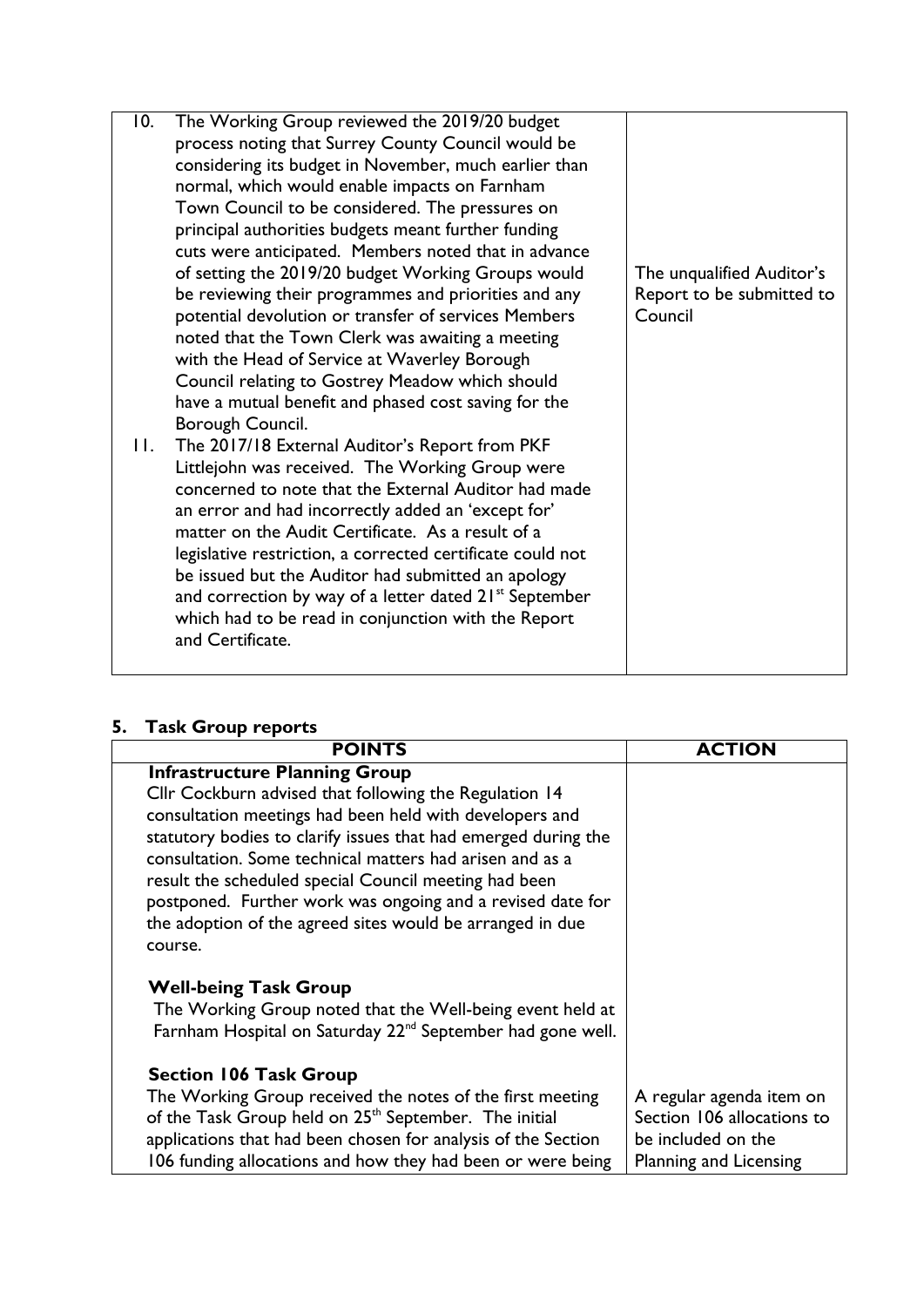| 10. | The Working Group reviewed the 2019/20 budget                      |                           |
|-----|--------------------------------------------------------------------|---------------------------|
|     | process noting that Surrey County Council would be                 |                           |
|     | considering its budget in November, much earlier than              |                           |
|     | normal, which would enable impacts on Farnham                      |                           |
|     | Town Council to be considered. The pressures on                    |                           |
|     | principal authorities budgets meant further funding                |                           |
|     | cuts were anticipated. Members noted that in advance               |                           |
|     | of setting the 2019/20 budget Working Groups would                 | The unqualified Auditor's |
|     | be reviewing their programmes and priorities and any               | Report to be submitted to |
|     | potential devolution or transfer of services Members               | Council                   |
|     | noted that the Town Clerk was awaiting a meeting                   |                           |
|     | with the Head of Service at Waverley Borough                       |                           |
|     | Council relating to Gostrey Meadow which should                    |                           |
|     | have a mutual benefit and phased cost saving for the               |                           |
|     | Borough Council.                                                   |                           |
| П.  | The 2017/18 External Auditor's Report from PKF                     |                           |
|     | Littlejohn was received. The Working Group were                    |                           |
|     | concerned to note that the External Auditor had made               |                           |
|     | an error and had incorrectly added an 'except for'                 |                           |
|     | matter on the Audit Certificate. As a result of a                  |                           |
|     | legislative restriction, a corrected certificate could not         |                           |
|     | be issued but the Auditor had submitted an apology                 |                           |
|     | and correction by way of a letter dated 21 <sup>st</sup> September |                           |
|     | which had to be read in conjunction with the Report                |                           |
|     | and Certificate.                                                   |                           |
|     |                                                                    |                           |

# **5. Task Group reports**

| <b>POINTS</b>                                                          | <b>ACTION</b>              |
|------------------------------------------------------------------------|----------------------------|
| <b>Infrastructure Planning Group</b>                                   |                            |
| Cllr Cockburn advised that following the Regulation 14                 |                            |
| consultation meetings had been held with developers and                |                            |
| statutory bodies to clarify issues that had emerged during the         |                            |
| consultation. Some technical matters had arisen and as a               |                            |
| result the scheduled special Council meeting had been                  |                            |
| postponed. Further work was ongoing and a revised date for             |                            |
| the adoption of the agreed sites would be arranged in due              |                            |
| course.                                                                |                            |
| <b>Well-being Task Group</b>                                           |                            |
| The Working Group noted that the Well-being event held at              |                            |
| Farnham Hospital on Saturday 22 <sup>nd</sup> September had gone well. |                            |
|                                                                        |                            |
| <b>Section 106 Task Group</b>                                          |                            |
| The Working Group received the notes of the first meeting              | A regular agenda item on   |
| of the Task Group held on 25 <sup>th</sup> September. The initial      | Section 106 allocations to |
| applications that had been chosen for analysis of the Section          | be included on the         |
| 106 funding allocations and how they had been or were being            | Planning and Licensing     |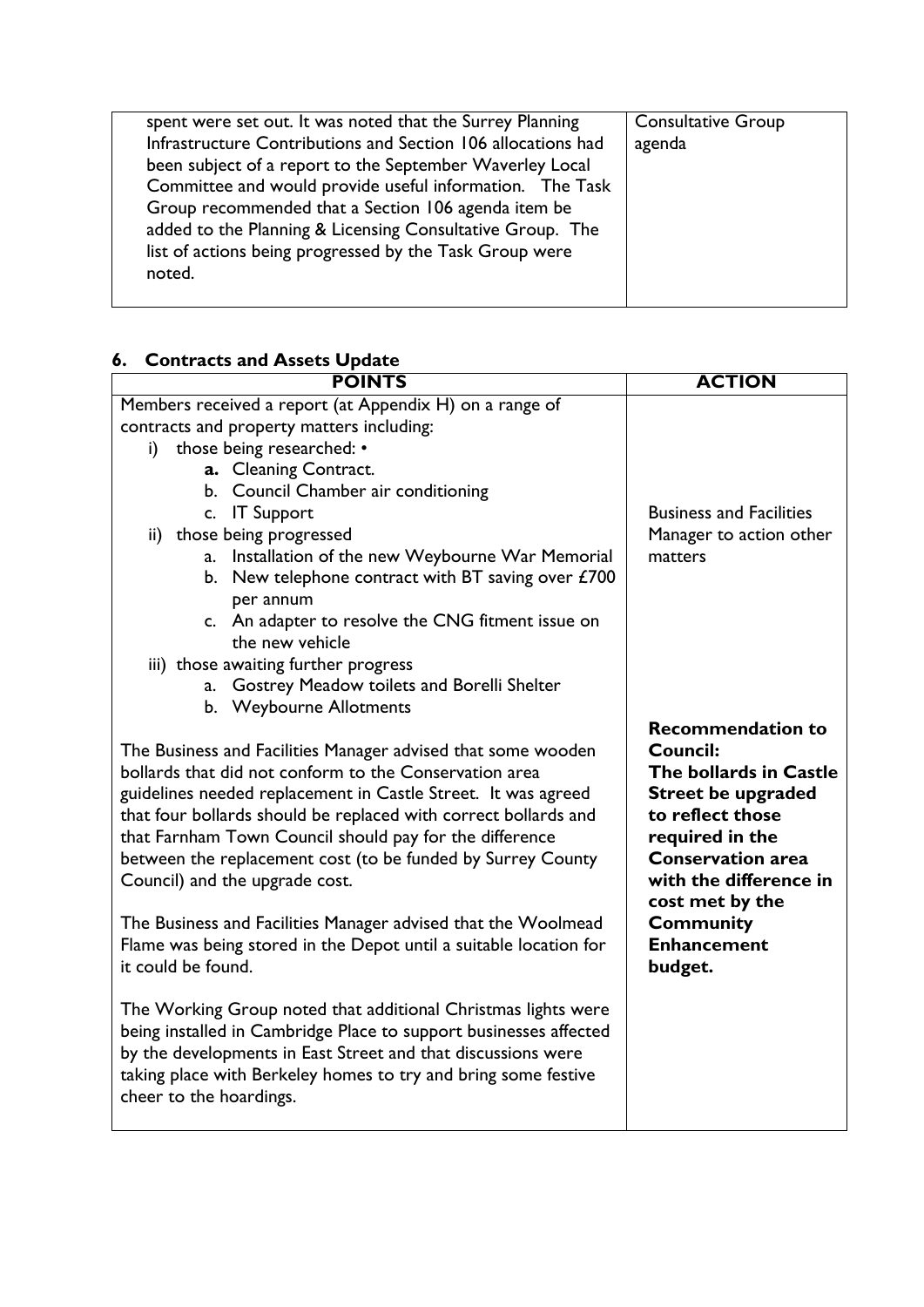| spent were set out. It was noted that the Surrey Planning    | <b>Consultative Group</b> |
|--------------------------------------------------------------|---------------------------|
| Infrastructure Contributions and Section 106 allocations had | agenda                    |
| been subject of a report to the September Waverley Local     |                           |
| Committee and would provide useful information. The Task     |                           |
| Group recommended that a Section 106 agenda item be          |                           |
| added to the Planning & Licensing Consultative Group. The    |                           |
| list of actions being progressed by the Task Group were      |                           |
| noted.                                                       |                           |
|                                                              |                           |

# **6. Contracts and Assets Update**

| <b>POINTS</b>                                                                                        | <b>ACTION</b>                                      |  |
|------------------------------------------------------------------------------------------------------|----------------------------------------------------|--|
| Members received a report (at Appendix H) on a range of                                              |                                                    |  |
| contracts and property matters including:                                                            |                                                    |  |
| those being researched: •<br>i)                                                                      |                                                    |  |
| a. Cleaning Contract.                                                                                |                                                    |  |
| b. Council Chamber air conditioning                                                                  |                                                    |  |
| c. IT Support                                                                                        | <b>Business and Facilities</b>                     |  |
| ii) those being progressed                                                                           | Manager to action other                            |  |
| Installation of the new Weybourne War Memorial<br>a.                                                 | matters                                            |  |
| b. New telephone contract with BT saving over $£700$<br>per annum                                    |                                                    |  |
| c. An adapter to resolve the CNG fitment issue on                                                    |                                                    |  |
| the new vehicle                                                                                      |                                                    |  |
| iii) those awaiting further progress                                                                 |                                                    |  |
| Gostrey Meadow toilets and Borelli Shelter<br>a.                                                     |                                                    |  |
| b. Weybourne Allotments                                                                              |                                                    |  |
|                                                                                                      | <b>Recommendation to</b>                           |  |
| The Business and Facilities Manager advised that some wooden                                         | Council:                                           |  |
| bollards that did not conform to the Conservation area                                               | The bollards in Castle                             |  |
| guidelines needed replacement in Castle Street. It was agreed                                        | <b>Street be upgraded</b>                          |  |
| that four bollards should be replaced with correct bollards and                                      | to reflect those                                   |  |
| that Farnham Town Council should pay for the difference                                              | required in the                                    |  |
| between the replacement cost (to be funded by Surrey County                                          | <b>Conservation area</b><br>with the difference in |  |
| Council) and the upgrade cost.                                                                       |                                                    |  |
| cost met by the<br><b>Community</b><br>The Business and Facilities Manager advised that the Woolmead |                                                    |  |
| Flame was being stored in the Depot until a suitable location for                                    | <b>Enhancement</b>                                 |  |
| it could be found.                                                                                   | budget.                                            |  |
|                                                                                                      |                                                    |  |
| The Working Group noted that additional Christmas lights were                                        |                                                    |  |
| being installed in Cambridge Place to support businesses affected                                    |                                                    |  |
| by the developments in East Street and that discussions were                                         |                                                    |  |
| taking place with Berkeley homes to try and bring some festive                                       |                                                    |  |
| cheer to the hoardings.                                                                              |                                                    |  |
|                                                                                                      |                                                    |  |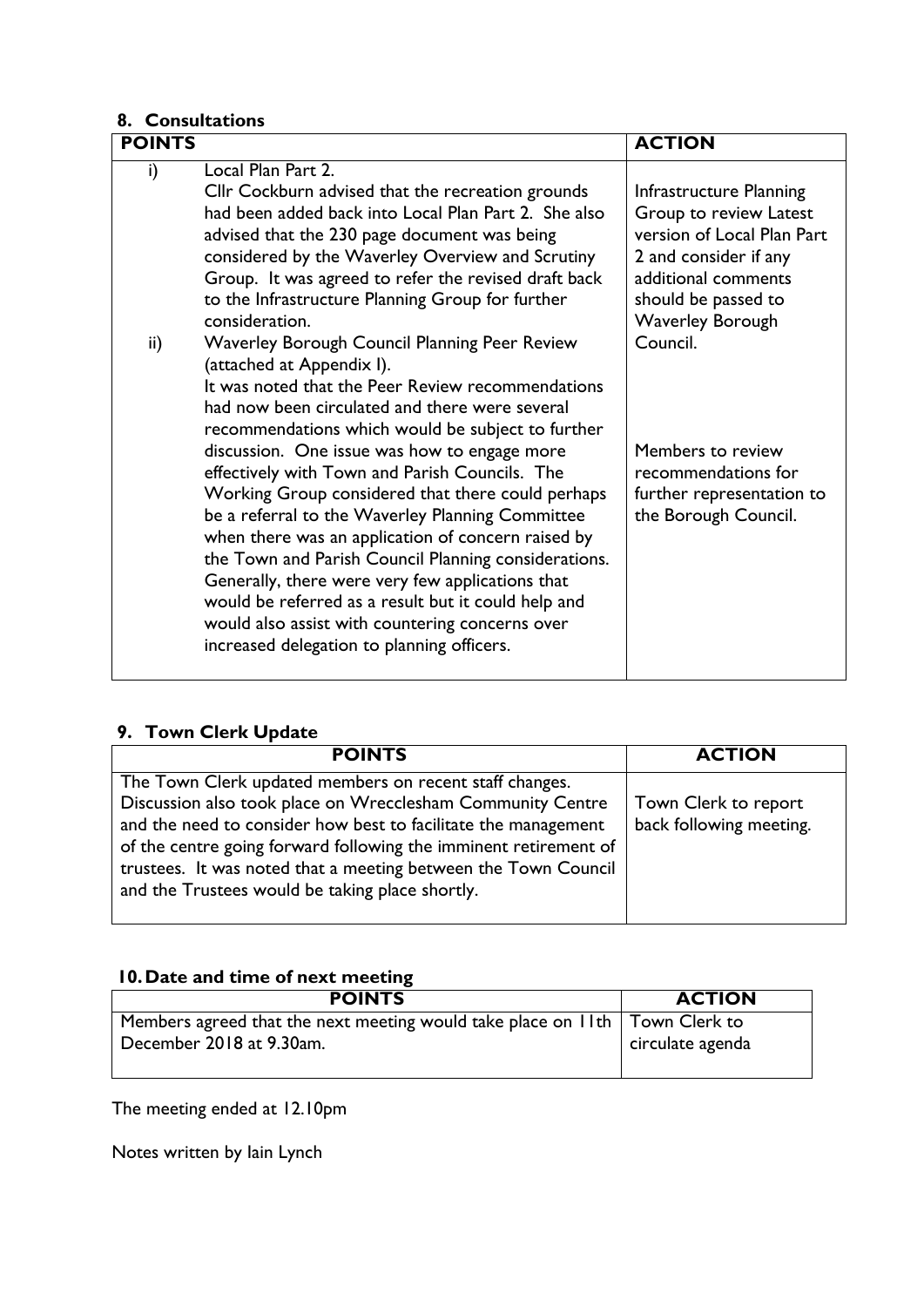# **8. Consultations**

| <b>POINTS</b> |                                                                                                                                                                                                                                                                                                                                                                                                                                                                                                                                                                                                                            | <b>ACTION</b>                                                                                                                                                                     |
|---------------|----------------------------------------------------------------------------------------------------------------------------------------------------------------------------------------------------------------------------------------------------------------------------------------------------------------------------------------------------------------------------------------------------------------------------------------------------------------------------------------------------------------------------------------------------------------------------------------------------------------------------|-----------------------------------------------------------------------------------------------------------------------------------------------------------------------------------|
| i)            | Local Plan Part 2.<br>Cllr Cockburn advised that the recreation grounds<br>had been added back into Local Plan Part 2. She also<br>advised that the 230 page document was being<br>considered by the Waverley Overview and Scrutiny<br>Group. It was agreed to refer the revised draft back<br>to the Infrastructure Planning Group for further<br>consideration.                                                                                                                                                                                                                                                          | Infrastructure Planning<br>Group to review Latest<br>version of Local Plan Part<br>2 and consider if any<br>additional comments<br>should be passed to<br><b>Waverley Borough</b> |
| ii)           | <b>Waverley Borough Council Planning Peer Review</b><br>(attached at Appendix I).<br>It was noted that the Peer Review recommendations<br>had now been circulated and there were several<br>recommendations which would be subject to further<br>discussion. One issue was how to engage more<br>effectively with Town and Parish Councils. The<br>Working Group considered that there could perhaps<br>be a referral to the Waverley Planning Committee<br>when there was an application of concern raised by<br>the Town and Parish Council Planning considerations.<br>Generally, there were very few applications that | Council.<br>Members to review<br>recommendations for<br>further representation to<br>the Borough Council.                                                                         |
|               | would be referred as a result but it could help and<br>would also assist with countering concerns over<br>increased delegation to planning officers.                                                                                                                                                                                                                                                                                                                                                                                                                                                                       |                                                                                                                                                                                   |

# **9. Town Clerk Update**

| <b>POINTS</b>                                                    | <b>ACTION</b>           |
|------------------------------------------------------------------|-------------------------|
| The Town Clerk updated members on recent staff changes.          |                         |
| Discussion also took place on Wrecclesham Community Centre       | Town Clerk to report    |
| and the need to consider how best to facilitate the management   | back following meeting. |
| of the centre going forward following the imminent retirement of |                         |
| trustees. It was noted that a meeting between the Town Council   |                         |
| and the Trustees would be taking place shortly.                  |                         |
|                                                                  |                         |

# **10.Date and time of next meeting**

| <b>POINTS</b>                                                               | <b>ACTION</b>    |
|-----------------------------------------------------------------------------|------------------|
| Members agreed that the next meeting would take place on 11th Town Clerk to |                  |
| December 2018 at 9.30am.                                                    | circulate agenda |
|                                                                             |                  |

The meeting ended at 12.10pm

Notes written by Iain Lynch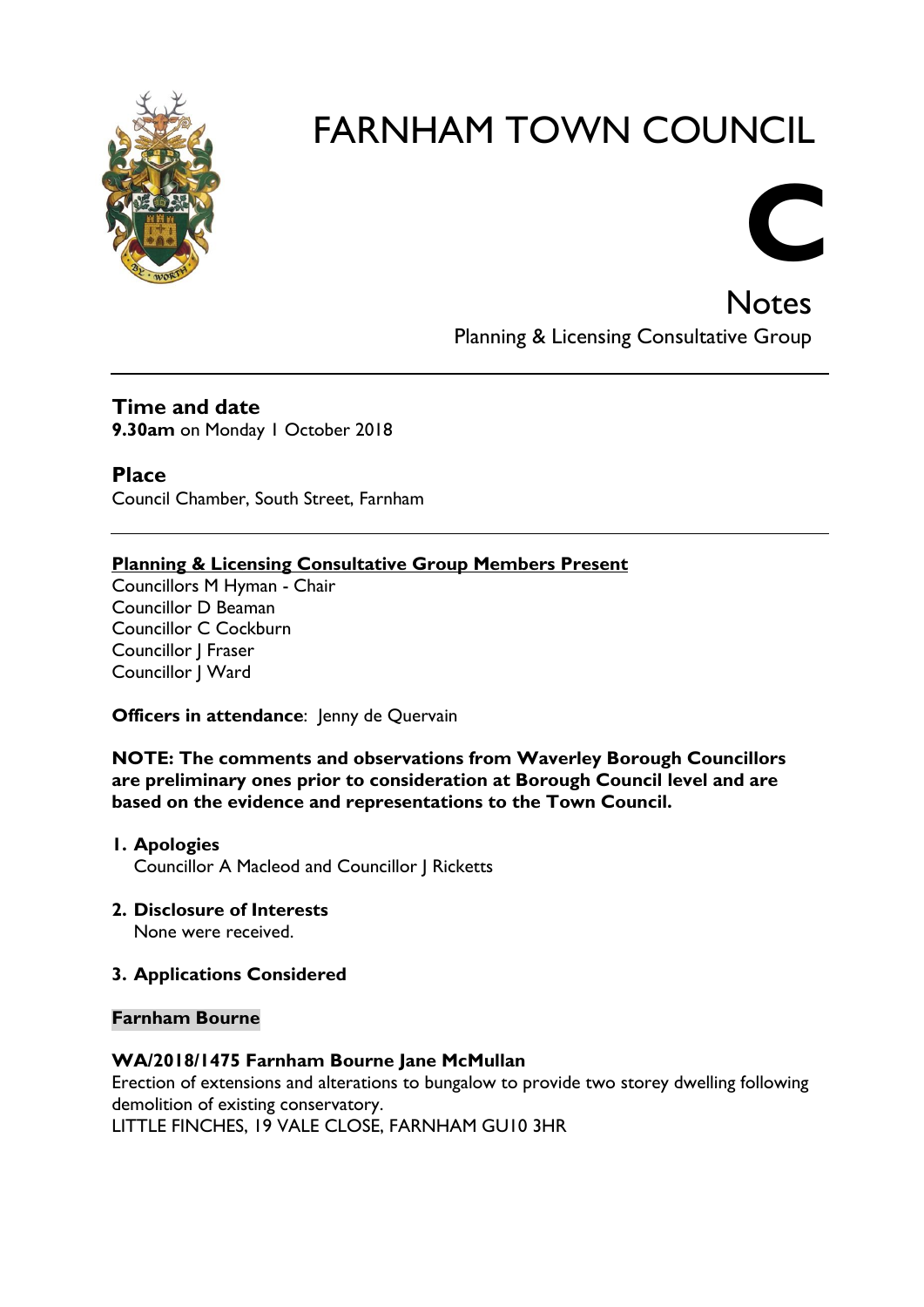



**Notes** Planning & Licensing Consultative Group

# **Time and date 9.30am** on Monday 1 October 2018

**Place** Council Chamber, South Street, Farnham

# **Planning & Licensing Consultative Group Members Present**

Councillors M Hyman - Chair Councillor D Beaman Councillor C Cockburn Councillor J Fraser Councillor J Ward

**Officers in attendance:** Jenny de Quervain

**NOTE: The comments and observations from Waverley Borough Councillors are preliminary ones prior to consideration at Borough Council level and are based on the evidence and representations to the Town Council.**

- **1. Apologies** Councillor A Macleod and Councillor J Ricketts
- **2. Disclosure of Interests** None were received.

# **3. Applications Considered**

# **Farnham Bourne**

# **WA/2018/1475 Farnham Bourne Jane McMullan**

Erection of extensions and alterations to bungalow to provide two storey dwelling following demolition of existing conservatory.

LITTLE FINCHES, 19 VALE CLOSE, FARNHAM GU10 3HR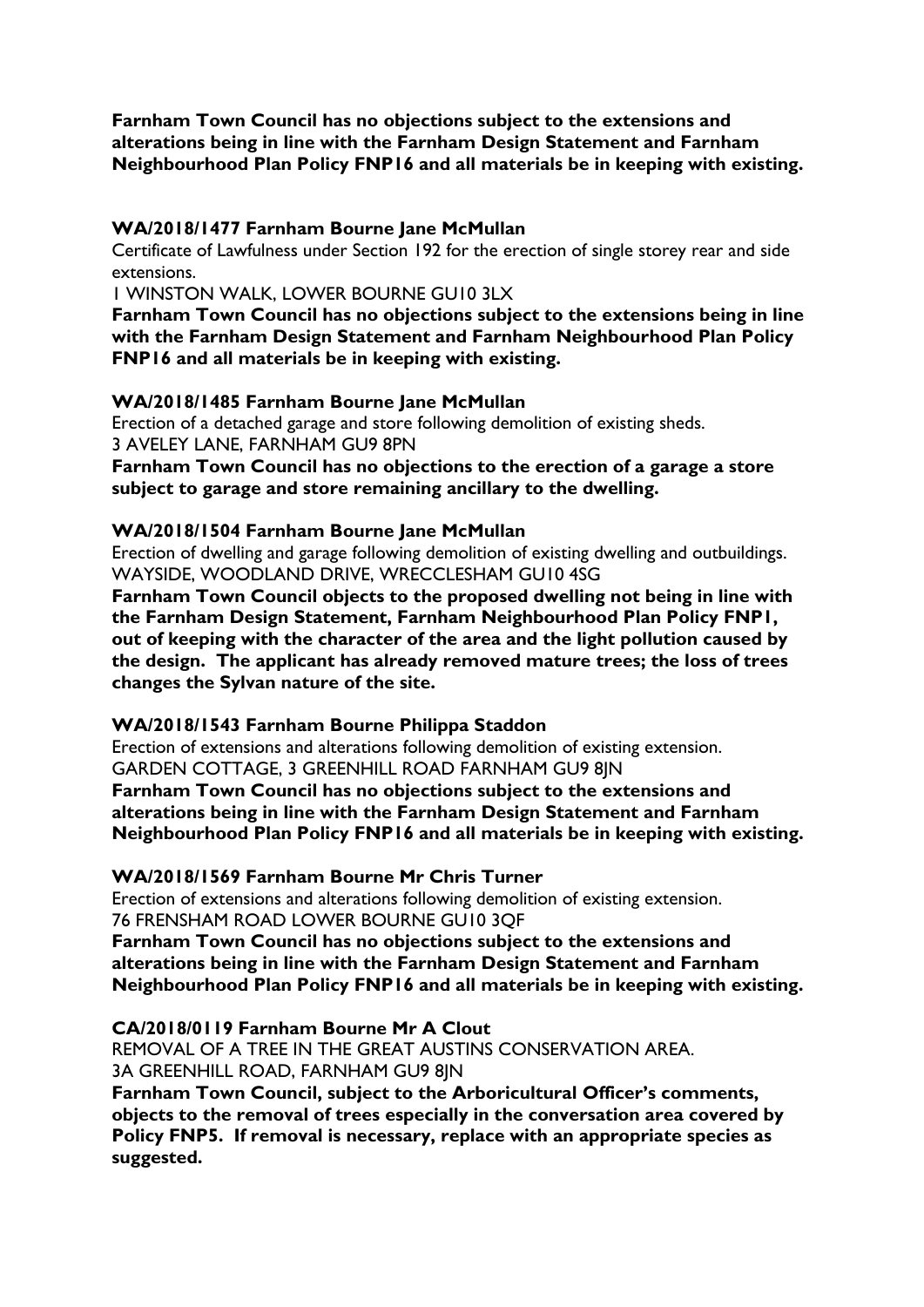**Farnham Town Council has no objections subject to the extensions and alterations being in line with the Farnham Design Statement and Farnham Neighbourhood Plan Policy FNP16 and all materials be in keeping with existing.**

#### **WA/2018/1477 Farnham Bourne Jane McMullan**

Certificate of Lawfulness under Section 192 for the erection of single storey rear and side extensions.

1 WINSTON WALK, LOWER BOURNE GU10 3LX

**Farnham Town Council has no objections subject to the extensions being in line with the Farnham Design Statement and Farnham Neighbourhood Plan Policy FNP16 and all materials be in keeping with existing.**

# **WA/2018/1485 Farnham Bourne Jane McMullan**

Erection of a detached garage and store following demolition of existing sheds. 3 AVELEY LANE, FARNHAM GU9 8PN

**Farnham Town Council has no objections to the erection of a garage a store subject to garage and store remaining ancillary to the dwelling.**

# **WA/2018/1504 Farnham Bourne Jane McMullan**

Erection of dwelling and garage following demolition of existing dwelling and outbuildings. WAYSIDE, WOODLAND DRIVE, WRECCLESHAM GU10 4SG

**Farnham Town Council objects to the proposed dwelling not being in line with the Farnham Design Statement, Farnham Neighbourhood Plan Policy FNP1, out of keeping with the character of the area and the light pollution caused by the design. The applicant has already removed mature trees; the loss of trees changes the Sylvan nature of the site.**

#### **WA/2018/1543 Farnham Bourne Philippa Staddon**

Erection of extensions and alterations following demolition of existing extension. GARDEN COTTAGE, 3 GREENHILL ROAD FARNHAM GU9 8JN **Farnham Town Council has no objections subject to the extensions and alterations being in line with the Farnham Design Statement and Farnham Neighbourhood Plan Policy FNP16 and all materials be in keeping with existing.**

# **WA/2018/1569 Farnham Bourne Mr Chris Turner**

Erection of extensions and alterations following demolition of existing extension. 76 FRENSHAM ROAD LOWER BOURNE GU10 3QF

**Farnham Town Council has no objections subject to the extensions and alterations being in line with the Farnham Design Statement and Farnham Neighbourhood Plan Policy FNP16 and all materials be in keeping with existing.**

# **CA/2018/0119 Farnham Bourne Mr A Clout**

REMOVAL OF A TREE IN THE GREAT AUSTINS CONSERVATION AREA. 3A GREENHILL ROAD, FARNHAM GU9 8JN **Farnham Town Council, subject to the Arboricultural Officer's comments, objects to the removal of trees especially in the conversation area covered by Policy FNP5. If removal is necessary, replace with an appropriate species as suggested.**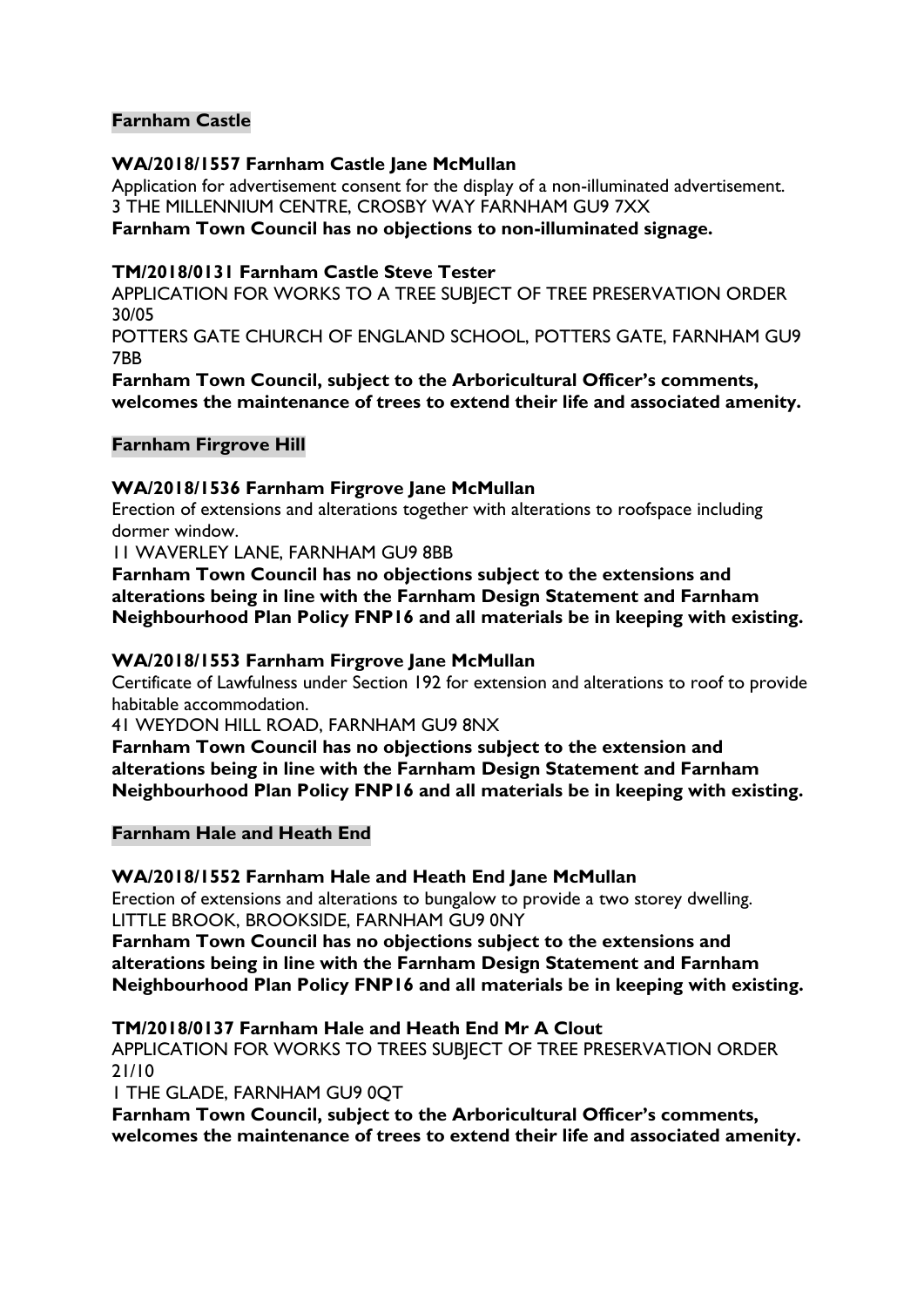# **Farnham Castle**

# **WA/2018/1557 Farnham Castle Jane McMullan**

Application for advertisement consent for the display of a non-illuminated advertisement. 3 THE MILLENNIUM CENTRE, CROSBY WAY FARNHAM GU9 7XX

# **Farnham Town Council has no objections to non-illuminated signage.**

# **TM/2018/0131 Farnham Castle Steve Tester**

APPLICATION FOR WORKS TO A TREE SUBJECT OF TREE PRESERVATION ORDER 30/05

POTTERS GATE CHURCH OF ENGLAND SCHOOL, POTTERS GATE, FARNHAM GU9 7BB

**Farnham Town Council, subject to the Arboricultural Officer's comments, welcomes the maintenance of trees to extend their life and associated amenity.**

#### **Farnham Firgrove Hill**

#### **WA/2018/1536 Farnham Firgrove Jane McMullan**

Erection of extensions and alterations together with alterations to roofspace including dormer window.

11 WAVERLEY LANE, FARNHAM GU9 8BB

**Farnham Town Council has no objections subject to the extensions and alterations being in line with the Farnham Design Statement and Farnham Neighbourhood Plan Policy FNP16 and all materials be in keeping with existing.**

# **WA/2018/1553 Farnham Firgrove Jane McMullan**

Certificate of Lawfulness under Section 192 for extension and alterations to roof to provide habitable accommodation.

41 WEYDON HILL ROAD, FARNHAM GU9 8NX

**Farnham Town Council has no objections subject to the extension and alterations being in line with the Farnham Design Statement and Farnham Neighbourhood Plan Policy FNP16 and all materials be in keeping with existing.**

#### **Farnham Hale and Heath End**

#### **WA/2018/1552 Farnham Hale and Heath End Jane McMullan**

Erection of extensions and alterations to bungalow to provide a two storey dwelling. LITTLE BROOK, BROOKSIDE, FARNHAM GU9 0NY

**Farnham Town Council has no objections subject to the extensions and alterations being in line with the Farnham Design Statement and Farnham Neighbourhood Plan Policy FNP16 and all materials be in keeping with existing.**

# **TM/2018/0137 Farnham Hale and Heath End Mr A Clout**

APPLICATION FOR WORKS TO TREES SUBJECT OF TREE PRESERVATION ORDER 21/10

1 THE GLADE, FARNHAM GU9 0QT

**Farnham Town Council, subject to the Arboricultural Officer's comments, welcomes the maintenance of trees to extend their life and associated amenity.**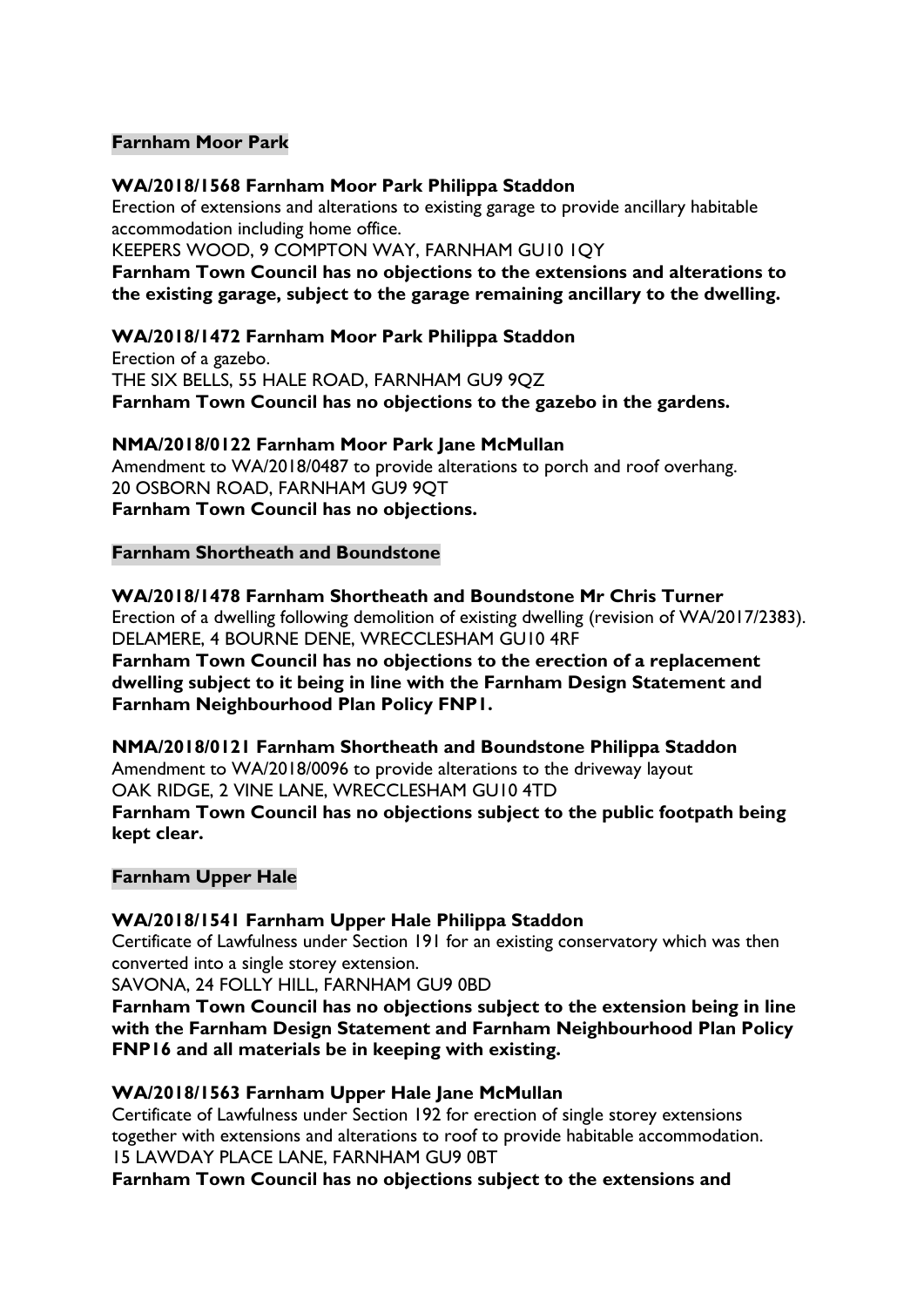# **Farnham Moor Park**

# **WA/2018/1568 Farnham Moor Park Philippa Staddon**

Erection of extensions and alterations to existing garage to provide ancillary habitable accommodation including home office.

KEEPERS WOOD, 9 COMPTON WAY, FARNHAM GU10 1QY

**Farnham Town Council has no objections to the extensions and alterations to the existing garage, subject to the garage remaining ancillary to the dwelling.**

# **WA/2018/1472 Farnham Moor Park Philippa Staddon**

Erection of a gazebo. THE SIX BELLS, 55 HALE ROAD, FARNHAM GU9 9QZ **Farnham Town Council has no objections to the gazebo in the gardens.**

# **NMA/2018/0122 Farnham Moor Park Jane McMullan**

Amendment to WA/2018/0487 to provide alterations to porch and roof overhang. 20 OSBORN ROAD, FARNHAM GU9 9QT **Farnham Town Council has no objections.**

#### **Farnham Shortheath and Boundstone**

#### **WA/2018/1478 Farnham Shortheath and Boundstone Mr Chris Turner**

Erection of a dwelling following demolition of existing dwelling (revision of WA/2017/2383). DELAMERE, 4 BOURNE DENE, WRECCLESHAM GU10 4RF

**Farnham Town Council has no objections to the erection of a replacement dwelling subject to it being in line with the Farnham Design Statement and Farnham Neighbourhood Plan Policy FNP1.**

## **NMA/2018/0121 Farnham Shortheath and Boundstone Philippa Staddon** Amendment to WA/2018/0096 to provide alterations to the driveway layout

OAK RIDGE, 2 VINE LANE, WRECCLESHAM GU10 4TD

**Farnham Town Council has no objections subject to the public footpath being kept clear.**

#### **Farnham Upper Hale**

# **WA/2018/1541 Farnham Upper Hale Philippa Staddon**

Certificate of Lawfulness under Section 191 for an existing conservatory which was then converted into a single storey extension.

SAVONA, 24 FOLLY HILL, FARNHAM GU9 0BD

**Farnham Town Council has no objections subject to the extension being in line with the Farnham Design Statement and Farnham Neighbourhood Plan Policy FNP16 and all materials be in keeping with existing.**

# **WA/2018/1563 Farnham Upper Hale Jane McMullan**

Certificate of Lawfulness under Section 192 for erection of single storey extensions together with extensions and alterations to roof to provide habitable accommodation. 15 LAWDAY PLACE LANE, FARNHAM GU9 0BT

**Farnham Town Council has no objections subject to the extensions and**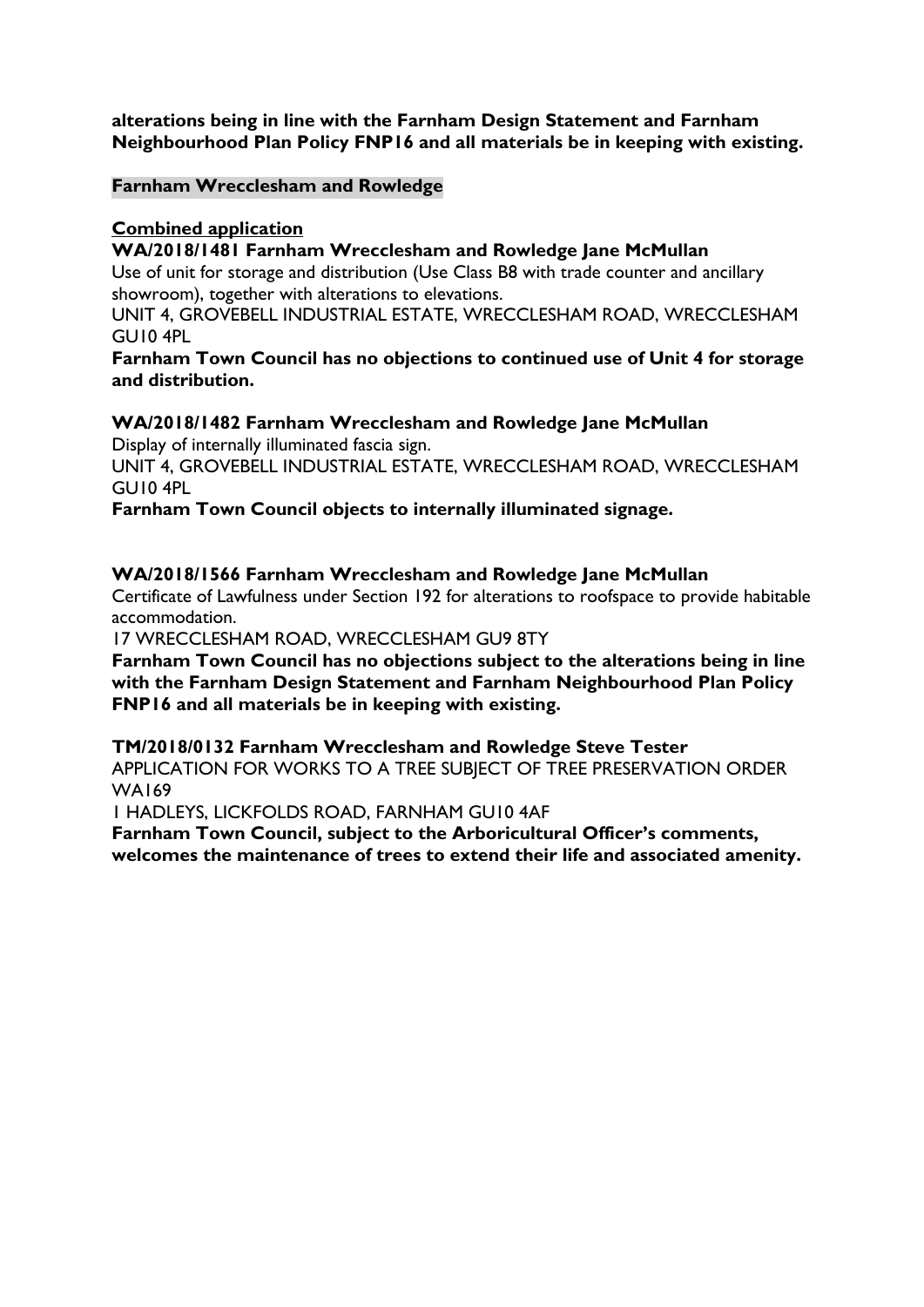# **alterations being in line with the Farnham Design Statement and Farnham Neighbourhood Plan Policy FNP16 and all materials be in keeping with existing.**

# **Farnham Wrecclesham and Rowledge**

# **Combined application**

# **WA/2018/1481 Farnham Wrecclesham and Rowledge Jane McMullan**

Use of unit for storage and distribution (Use Class B8 with trade counter and ancillary showroom), together with alterations to elevations.

UNIT 4, GROVEBELL INDUSTRIAL ESTATE, WRECCLESHAM ROAD, WRECCLESHAM GU10 4PL

# **Farnham Town Council has no objections to continued use of Unit 4 for storage and distribution.**

# **WA/2018/1482 Farnham Wrecclesham and Rowledge Jane McMullan**

Display of internally illuminated fascia sign.

UNIT 4, GROVEBELL INDUSTRIAL ESTATE, WRECCLESHAM ROAD, WRECCLESHAM GU10 4PL

**Farnham Town Council objects to internally illuminated signage.**

# **WA/2018/1566 Farnham Wrecclesham and Rowledge Jane McMullan**

Certificate of Lawfulness under Section 192 for alterations to roofspace to provide habitable accommodation.

17 WRECCLESHAM ROAD, WRECCLESHAM GU9 8TY

**Farnham Town Council has no objections subject to the alterations being in line with the Farnham Design Statement and Farnham Neighbourhood Plan Policy FNP16 and all materials be in keeping with existing.**

#### **TM/2018/0132 Farnham Wrecclesham and Rowledge Steve Tester**

APPLICATION FOR WORKS TO A TREE SUBJECT OF TREE PRESERVATION ORDER WA169

1 HADLEYS, LICKFOLDS ROAD, FARNHAM GU10 4AF

**Farnham Town Council, subject to the Arboricultural Officer's comments, welcomes the maintenance of trees to extend their life and associated amenity.**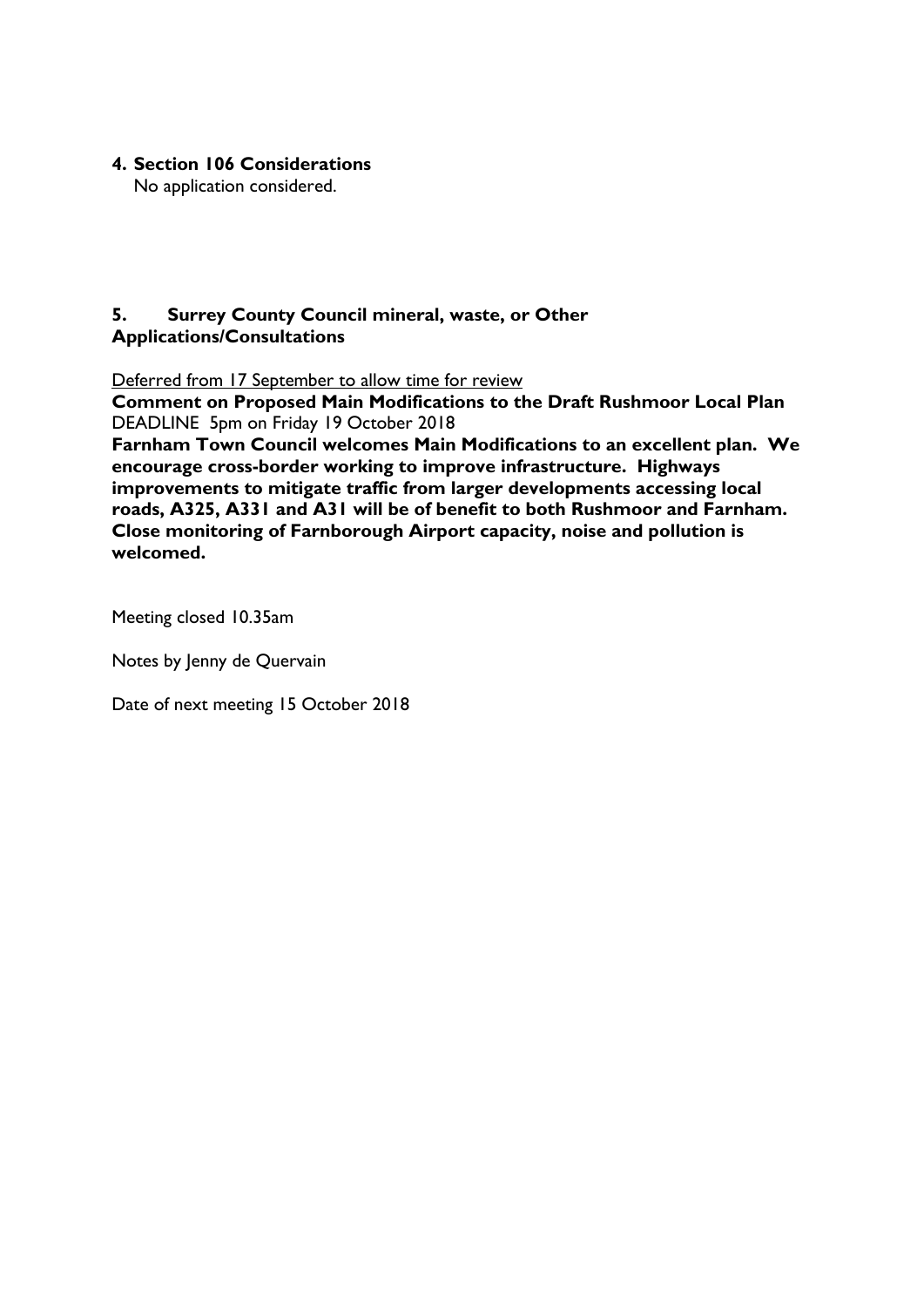**4. Section 106 Considerations** 

No application considered.

# **5. Surrey County Council mineral, waste, or Other Applications/Consultations**

Deferred from 17 September to allow time for review

**Comment on Proposed Main Modifications to the Draft Rushmoor Local Plan** DEADLINE 5pm on Friday 19 October 2018

**Farnham Town Council welcomes Main Modifications to an excellent plan. We encourage cross-border working to improve infrastructure. Highways improvements to mitigate traffic from larger developments accessing local roads, A325, A331 and A31 will be of benefit to both Rushmoor and Farnham. Close monitoring of Farnborough Airport capacity, noise and pollution is welcomed.**

Meeting closed 10.35am

Notes by Jenny de Quervain

Date of next meeting 15 October 2018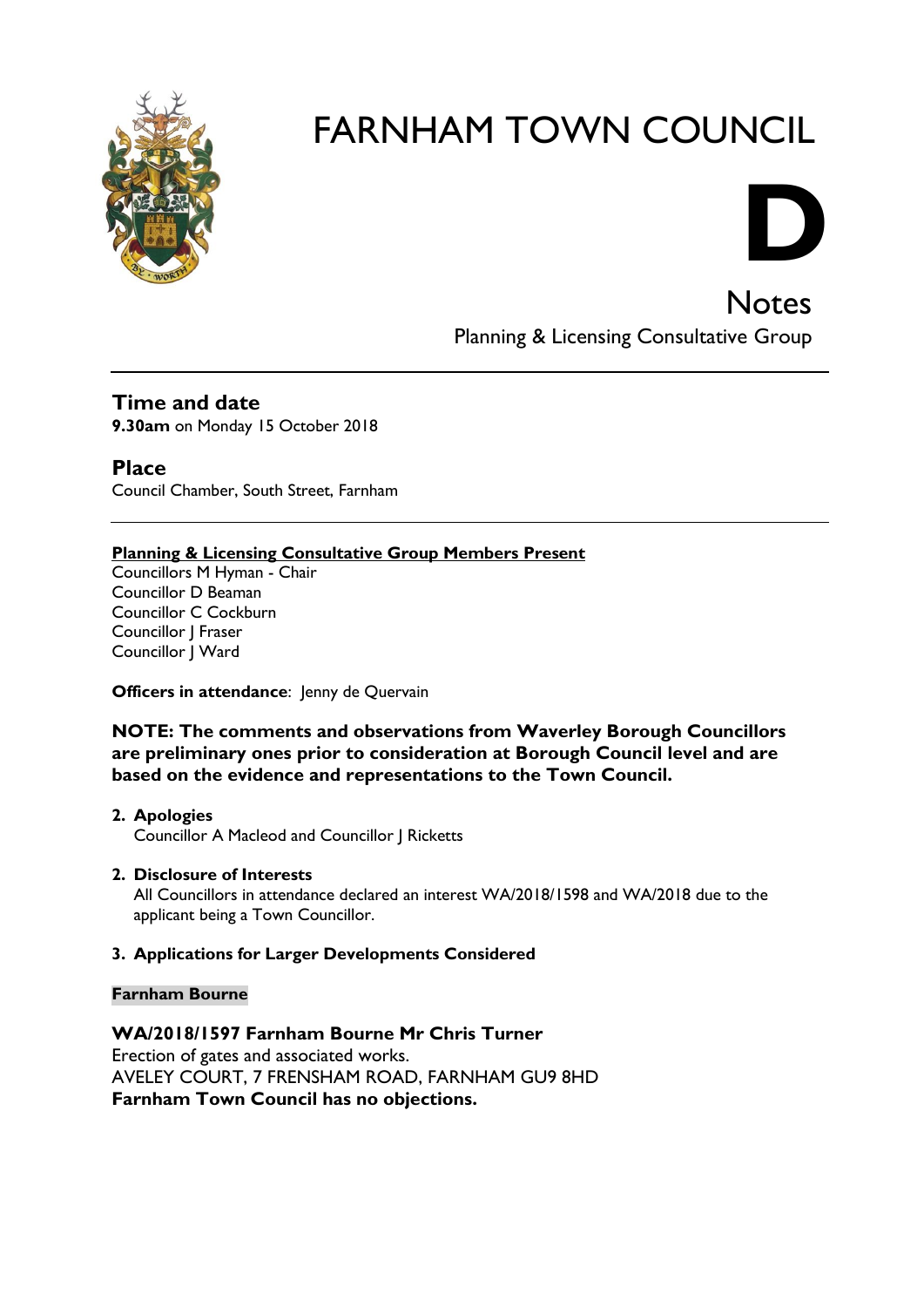



**Notes** Planning & Licensing Consultative Group

**Time and date 9.30am** on Monday 15 October 2018

**Place** Council Chamber, South Street, Farnham

# **Planning & Licensing Consultative Group Members Present**

Councillors M Hyman - Chair Councillor D Beaman Councillor C Cockburn Councillor J Fraser Councillor | Ward

**Officers in attendance:** Jenny de Quervain

**NOTE: The comments and observations from Waverley Borough Councillors are preliminary ones prior to consideration at Borough Council level and are based on the evidence and representations to the Town Council.**

- **2. Apologies** Councillor A Macleod and Councillor J Ricketts
- **2. Disclosure of Interests**

All Councillors in attendance declared an interest WA/2018/1598 and WA/2018 due to the applicant being a Town Councillor.

#### **3. Applications for Larger Developments Considered**

#### **Farnham Bourne**

**WA/2018/1597 Farnham Bourne Mr Chris Turner** Erection of gates and associated works. AVELEY COURT, 7 FRENSHAM ROAD, FARNHAM GU9 8HD **Farnham Town Council has no objections.**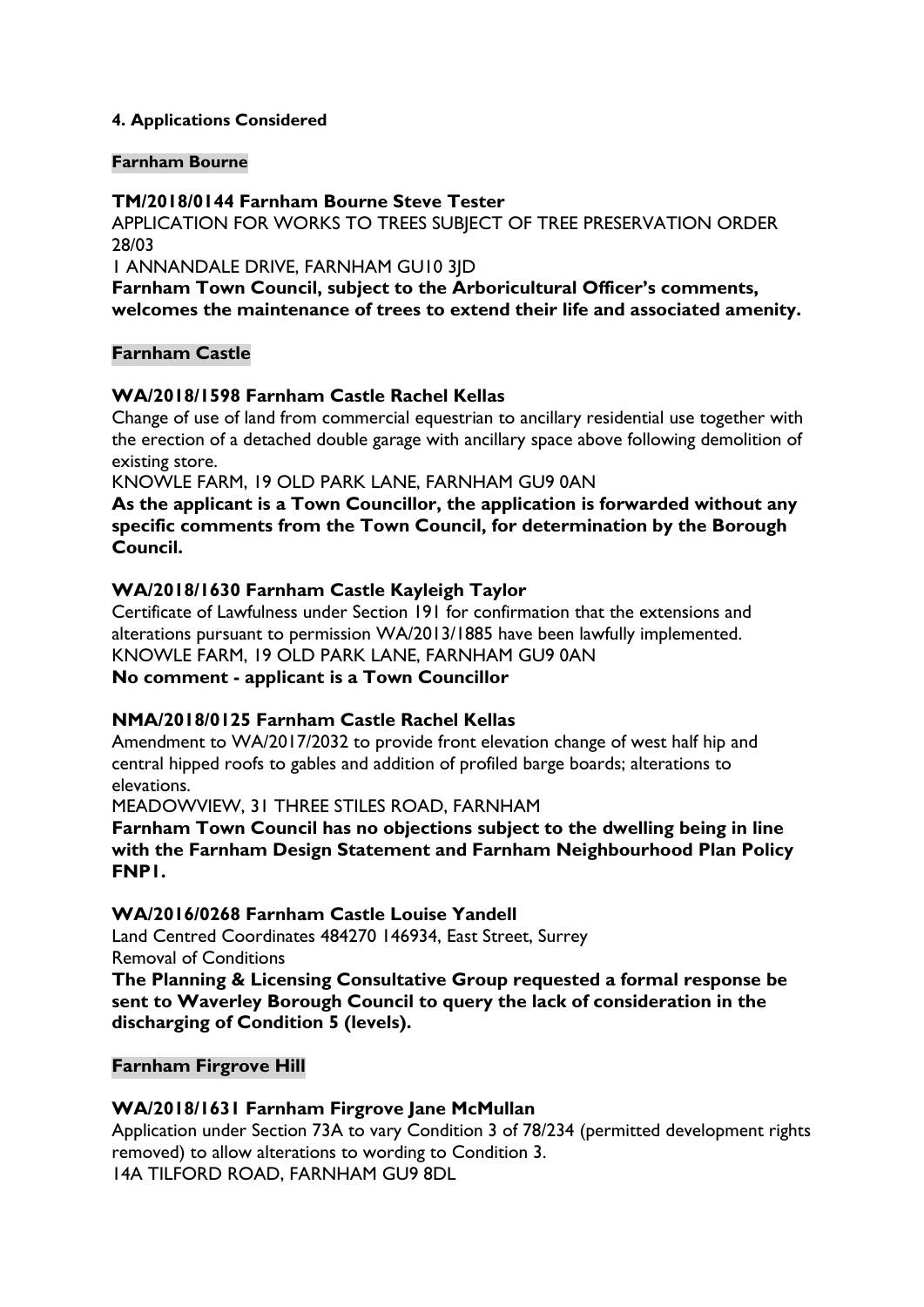# **4. Applications Considered**

#### **Farnham Bourne**

# **TM/2018/0144 Farnham Bourne Steve Tester**

APPLICATION FOR WORKS TO TREES SUBJECT OF TREE PRESERVATION ORDER 28/03

1 ANNANDALE DRIVE, FARNHAM GU10 3JD

**Farnham Town Council, subject to the Arboricultural Officer's comments, welcomes the maintenance of trees to extend their life and associated amenity.**

#### **Farnham Castle**

# **WA/2018/1598 Farnham Castle Rachel Kellas**

Change of use of land from commercial equestrian to ancillary residential use together with the erection of a detached double garage with ancillary space above following demolition of existing store.

KNOWLE FARM, 19 OLD PARK LANE, FARNHAM GU9 0AN

**As the [applicant](http://planning360.waverley.gov.uk/planning/planning-documents?SDescription=WA/2018/1598) is a Town Councillor, the application is forwarded without any specific comments from the Town Council, for determination by the Borough Council.**

# **WA/2018/1630 Farnham Castle Kayleigh Taylor**

Certificate of Lawfulness under Section 191 for confirmation that the extensions and alterations pursuant to permission WA/2013/1885 have been lawfully implemented. KNOWLE FARM, 19 OLD PARK LANE, FARNHAM GU9 0AN **No comment - [applicant](http://planning360.waverley.gov.uk/planning/planning-documents?SDescription=WA/2018/1598) is a Town Councillor**

# **NMA/2018/0125 Farnham Castle Rachel Kellas**

Amendment to WA/2017/2032 to provide front elevation change of west half hip and central hipped roofs to gables and addition of profiled barge boards; alterations to elevations.

MEADOWVIEW, 31 THREE STILES ROAD, FARNHAM

**Farnham Town Council has no objections subject to the dwelling being in line with the Farnham Design Statement and Farnham Neighbourhood Plan Policy FNP1.**

#### **WA/2016/0268 Farnham Castle Louise Yandell**

Land Centred Coordinates 484270 146934, East Street, Surrey Removal of Conditions

**The Planning & Licensing Consultative Group requested a formal response be sent to Waverley Borough Council to query the lack of consideration in the discharging of Condition 5 (levels).**

# **Farnham Firgrove Hill**

#### **WA/2018/1631 Farnham Firgrove Jane McMullan**

Application under Section 73A to vary Condition 3 of 78/234 (permitted development rights removed) to allow alterations to wording to Condition 3. 14A TILFORD ROAD, FARNHAM GU9 8DL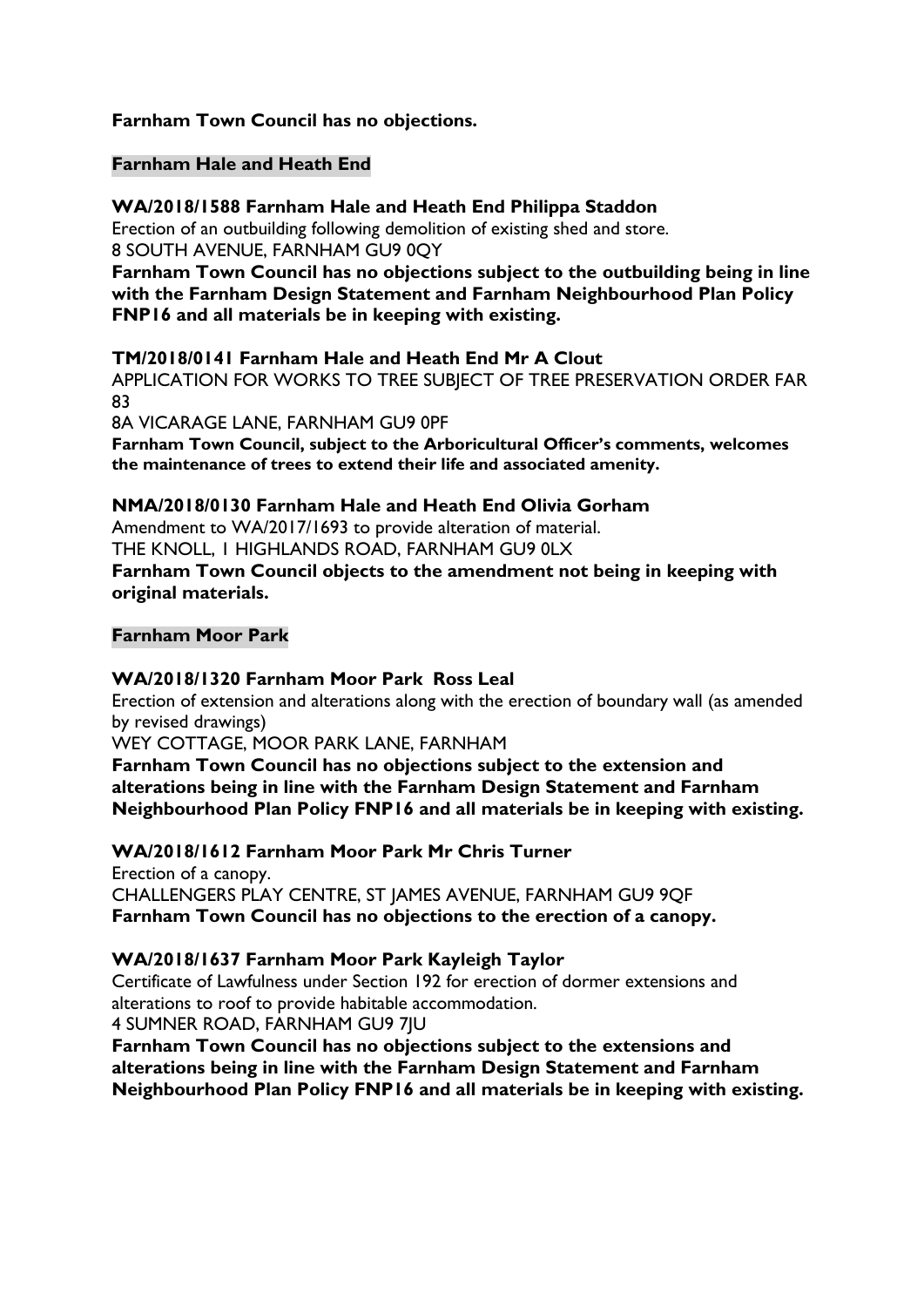# **Farnham Town Council has no objections.**

# **Farnham Hale and Heath End**

## **WA/2018/1588 Farnham Hale and Heath End Philippa Staddon**

Erection of an outbuilding following demolition of existing shed and store. 8 SOUTH AVENUE, FARNHAM GU9 0QY

**Farnham Town Council has no objections subject to the outbuilding being in line with the Farnham Design Statement and Farnham Neighbourhood Plan Policy FNP16 and all materials be in keeping with existing.**

# **TM/2018/0141 Farnham Hale and Heath End Mr A Clout**

APPLICATION FOR WORKS TO TREE SUBJECT OF TREE PRESERVATION ORDER FAR 83

8A VICARAGE LANE, FARNHAM GU9 0PF

**Farnham Town Council, subject to the Arboricultural Officer's comments, welcomes the maintenance of trees to extend their life and associated amenity.**

# **NMA/2018/0130 Farnham Hale and Heath End Olivia Gorham**

Amendment to WA/2017/1693 to provide alteration of material. THE KNOLL, 1 HIGHLANDS ROAD, FARNHAM GU9 0LX **Farnham Town Council objects to the amendment not being in keeping with original materials.**

# **Farnham Moor Park**

#### **WA/2018/1320 Farnham Moor Park Ross Leal**

Erection of extension and alterations along with the erection of boundary wall (as amended by revised drawings)

WEY COTTAGE, MOOR PARK LANE, FARNHAM

**Farnham Town Council has no objections subject to the extension and alterations being in line with the Farnham Design Statement and Farnham Neighbourhood Plan Policy FNP16 and all materials be in keeping with existing.**

# **WA/2018/1612 Farnham Moor Park Mr Chris Turner**

Erection of a canopy. CHALLENGERS PLAY CENTRE, ST JAMES AVENUE, FARNHAM GU9 9QF **Farnham Town Council has no objections to the erection of a canopy.**

# **WA/2018/1637 Farnham Moor Park Kayleigh Taylor**

Certificate of Lawfulness under Section 192 for erection of dormer extensions and alterations to roof to provide habitable accommodation. 4 SUMNER ROAD, FARNHAM GU9 7JU

**Farnham Town Council has no objections subject to the extensions and alterations being in line with the Farnham Design Statement and Farnham Neighbourhood Plan Policy FNP16 and all materials be in keeping with existing.**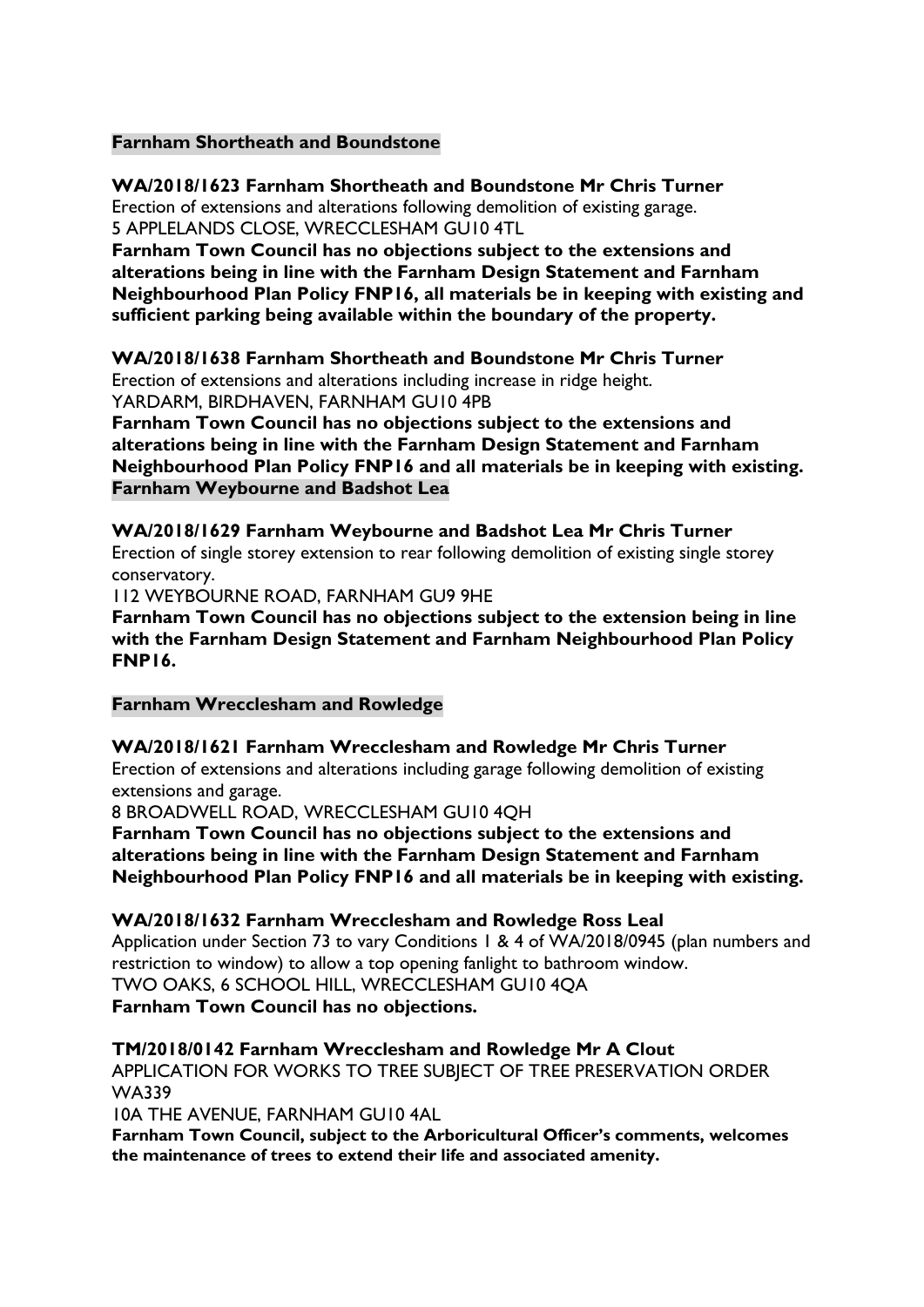# **Farnham Shortheath and Boundstone**

# **WA/2018/1623 Farnham Shortheath and Boundstone Mr Chris Turner**

Erection of extensions and alterations following demolition of existing garage. 5 APPLELANDS CLOSE, WRECCLESHAM GU10 4TL

**Farnham Town Council has no objections subject to the extensions and alterations being in line with the Farnham Design Statement and Farnham Neighbourhood Plan Policy FNP16, all materials be in keeping with existing and sufficient parking being available within the boundary of the property.**

#### **WA/2018/1638 Farnham Shortheath and Boundstone Mr Chris Turner** Erection of extensions and alterations including increase in ridge height. YARDARM, BIRDHAVEN, FARNHAM GU10 4PB

**Farnham Town Council has no objections subject to the extensions and alterations being in line with the Farnham Design Statement and Farnham Neighbourhood Plan Policy FNP16 and all materials be in keeping with existing. Farnham Weybourne and Badshot Lea**

# **WA/2018/1629 Farnham Weybourne and Badshot Lea Mr Chris Turner**

Erection of single storey extension to rear following demolition of existing single storey conservatory.

112 WEYBOURNE ROAD, FARNHAM GU9 9HE

**Farnham Town Council has no objections subject to the extension being in line with the Farnham Design Statement and Farnham Neighbourhood Plan Policy FNP16.**

#### **Farnham Wrecclesham and Rowledge**

#### **WA/2018/1621 Farnham Wrecclesham and Rowledge Mr Chris Turner**

Erection of extensions and alterations including garage following demolition of existing extensions and garage.

8 BROADWELL ROAD, WRECCLESHAM GU10 4QH

**Farnham Town Council has no objections subject to the extensions and alterations being in line with the Farnham Design Statement and Farnham Neighbourhood Plan Policy FNP16 and all materials be in keeping with existing.**

#### **WA/2018/1632 Farnham Wrecclesham and Rowledge Ross Leal**

Application under Section 73 to vary Conditions 1 & 4 of WA/2018/0945 (plan numbers and restriction to window) to allow a top opening fanlight to bathroom window. TWO OAKS, 6 SCHOOL HILL, WRECCLESHAM GU10 4QA **Farnham Town Council has no objections.**

#### **TM/2018/0142 Farnham Wrecclesham and Rowledge Mr A Clout**

APPLICATION FOR WORKS TO TREE SUBJECT OF TREE PRESERVATION ORDER WA339

10A THE AVENUE, FARNHAM GU10 4AL

**Farnham Town Council, subject to the Arboricultural Officer's comments, welcomes the maintenance of trees to extend their life and associated amenity.**